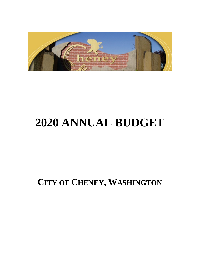

# **2020 ANNUAL BUDGET**

**CITY OF CHENEY, WASHINGTON**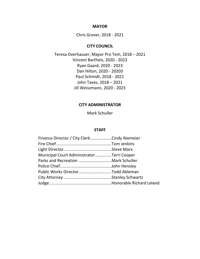#### **MAYOR**

Chris Grover, 2018 - 2021

#### **CITY COUNCIL**

Teresa Overhauser, Mayor Pro Tem, 2018 – 2021 Vincent Barthels, 2020 - 2023 Ryan Gaard, 2020 - 2023 Dan Hilton, 2020 - 20203 Paul Schmidt, 2018 - 2021 John Taves, 2018 – 2021 Jill Weiszmann, 2020 - 2023

#### **CITY ADMINISTRATOR**

Mark Schuller

#### **STAFF**

| Finance Director / City ClerkCindy Niemeier |
|---------------------------------------------|
|                                             |
|                                             |
| Municipal Court AdministratorTerri Cooper   |
|                                             |
|                                             |
| Public Works DirectorTodd Ableman           |
|                                             |
|                                             |
|                                             |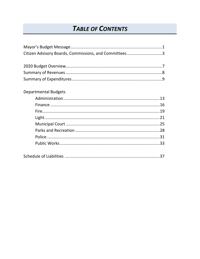## **TABLE OF CONTENTS**

| Citizen Advisory Boards, Commissions, and Committees3 |  |
|-------------------------------------------------------|--|
|                                                       |  |
|                                                       |  |
|                                                       |  |
|                                                       |  |
| <b>Departmental Budgets</b>                           |  |
|                                                       |  |
|                                                       |  |
|                                                       |  |
|                                                       |  |
|                                                       |  |
|                                                       |  |
|                                                       |  |
|                                                       |  |
|                                                       |  |
|                                                       |  |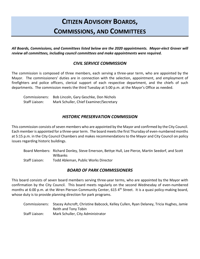## **CITIZEN ADVISORY BOARDS, COMMISSIONS, AND COMMITTEES**

*All Boards, Commissions, and Committees listed below are the 2020 appointments. Mayor-elect Grover will review all committees, including council committees and make appointments were required.* 

#### *CIVIL SERVICE COMMISSION*

The commission is composed of three members, each serving a three-year term, who are appointed by the Mayor. The commissioners' duties are in connection with the selection, appointment, and employment of firefighters and police officers, clerical support of each respective department, and the chiefs of such departments. The commission meets the third Tuesday at 5:00 p.m. at the Mayor's Office as needed.

| Commissioners: | Bob Lincoln, Gary Geschke, Don Nichols  |
|----------------|-----------------------------------------|
| Staff Liaison: | Mark Schuller, Chief Examiner/Secretary |

#### *HISTORIC PRESERVATION COMMISSION*

This commission consists of seven members who are appointed by the Mayor and confirmed by the City Council. Each member is appointed for a three-year term. The board meets the first Thursday of even-numbered months at 5:15 p.m. in the City Council Chambers and makes recommendations to the Mayor and City Council on policy issues regarding historic buildings.

|                | Board Members: Richard Donley, Steve Emerson, Bettye Hull, Lee Pierce, Martin Seedorf, and Scott |
|----------------|--------------------------------------------------------------------------------------------------|
|                | Wilbanks                                                                                         |
| Staff Liaison: | Todd Ableman, Public Works Director                                                              |

#### *BOARD OF PARK COMMISSIONERS*

This board consists of seven board members serving three-year terms, who are appointed by the Mayor with confirmation by the City Council. This board meets regularly on the second Wednesday of even-numbered months at 6:00 p.m. at the Wren Pierson Community Center, 615 4<sup>th</sup> Street. It is a quasi policy-making board, whose duty is to provide planning direction for park programs.

|                | Commissioners: Stacey Ashcroft, Christine Babcock, Kelley Cullen, Ryan Delaney, Tricia Hughes, Jamie |
|----------------|------------------------------------------------------------------------------------------------------|
|                | Reith and Tony Tobin                                                                                 |
| Staff Liaison: | Mark Schuller, City Administrator                                                                    |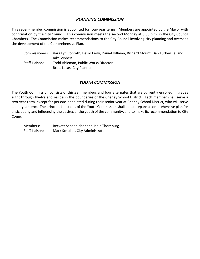#### *PLANNING COMMISSION*

This seven-member commission is appointed for four-year terms. Members are appointed by the Mayor with confirmation by the City Council. This commission meets the second Monday at 6:00 p.m. in the City Council Chambers. The Commission makes recommendations to the City Council involving city planning and oversees the development of the Comprehensive Plan.

|                 | Commissioners: Vara Lyn Conrath, David Early, Daniel Hillman, Richard Mount, Dan Turbeville, and<br>Jake Vibbert |
|-----------------|------------------------------------------------------------------------------------------------------------------|
| Staff Liaisons: | Todd Ableman, Public Works Director                                                                              |
|                 | Brett Lucas, City Planner                                                                                        |

#### *YOUTH COMMISSION*

The Youth Commission consists of thirteen members and four alternates that are currently enrolled in grades eight through twelve and reside in the boundaries of the Cheney School District. Each member shall serve a two-year term, except for persons appointed during their senior year at Cheney School District, who will serve a one-year term. The principle functions of the Youth Commission shall be to prepare a comprehensive plan for anticipating and influencing the desires of the youth of the community, and to make its recommendation to City Council.

Members: Beckett Schoenleber and Jaela Thornburg Staff Liaison: Mark Schuller, City Administrator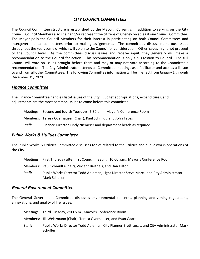#### *CITY COUNCIL COMMITTEES*

The Council Committee structure is established by the Mayor. Currently, in addition to serving on the City Council, Council Members also chair and/or represent the citizens of Cheney on at least one Council Committee. The Mayor polls the Council Members for their interest in participating on both Council Committees and intergovernmental committees prior to making assignments. The committees discuss numerous issues throughout the year, some of which will go on to the Council for consideration. Other issues might not proceed to the Council level. As the committees discuss issues and receive input, they generally will make a recommendation to the Council for action. This recommendation is only a suggestion to Council. The full Council will vote on issues brought before them and may or may not vote according to the Committee's recommendation. The City Administrator attends all Committee meetings as a facilitator and acts as a liaison to and from all other Committees. The following Committee information will be in effect from January 1 through December 31, 2020.

#### *Finance Committee*

The Finance Committee handles fiscal issues of the City. Budget appropriations, expenditures, and adjustments are the most common issues to come before this committee.

|        | Meetings: Second and fourth Tuesdays, 5:30 p.m., Mayor's Conference Room |
|--------|--------------------------------------------------------------------------|
|        | Members: Teresa Overhauser (Chair), Paul Schmidt, and John Taves         |
| Staff: | Finance Director Cindy Niemeier and department heads as required         |

#### *Public Works & Utilities Committee*

The Public Works & Utilities Committee discusses topics related to the utilities and public works operations of the City.

- Meetings: First Thursday after first Council meeting, 10:00 a.m., Mayor's Conference Room
- Members: Paul Schmidt (Chair), Vincent Barthels, and Dan Hilton
- Staff: Public Works Director Todd Ableman, Light Director Steve Marx, and City Administrator Mark Schuller

#### *General Government Committee*

The General Government Committee discusses environmental concerns, planning and zoning regulations, annexations, and quality of life issues.

|        | Meetings: Third Tuesday, 2:00 p.m., Mayor's Conference Room                                           |
|--------|-------------------------------------------------------------------------------------------------------|
|        | Members: Jill Weiszmann (Chair), Teresa Overhauser, and Ryan Gaard                                    |
| Staff: | Public Works Director Todd Ableman, City Planner Brett Lucas, and City Administrator Mark<br>Schuller |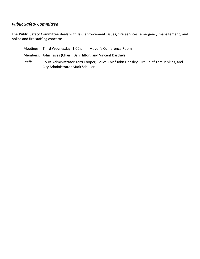#### *Public Safety Committee*

The Public Safety Committee deals with law enforcement issues, fire services, emergency management, and police and fire staffing concerns.

Meetings: Third Wednesday, 1:00 p.m., Mayor's Conference Room Members: John Taves (Chair), Dan Hilton, and Vincent Barthels Staff: Court Administrator Terri Cooper, Police Chief John Hensley, Fire Chief Tom Jenkins, and City Administrator Mark Schuller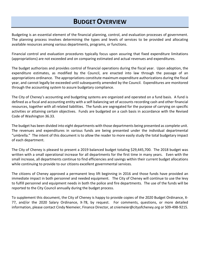## **BUDGET OVERVIEW**

Budgeting is an essential element of the financial planning, control, and evaluation processes of government. The planning process involves determining the types and levels of services to be provided and allocating available resources among various departments, programs, or functions.

Financial control and evaluation procedures typically focus upon assuring that fixed expenditure limitations (appropriations) are not exceeded and on comparing estimated and actual revenues and expenditures.

The budget authorizes and provides control of financial operations during the fiscal year. Upon adoption, the expenditure estimates, as modified by the Council, are enacted into law through the passage of an appropriations ordinance. The appropriations constitute maximum expenditure authorizations during the fiscal year, and cannot legally be exceeded until subsequently amended by the Council. Expenditures are monitored through the accounting system to assure budgetary compliance.

The City of Cheney's accounting and budgeting systems are organized and operated on a fund basis. A fund is defined as a fiscal and accounting entity with a self-balancing set of accounts recording cash and other financial resources, together with all related liabilities. The funds are segregated for the purpose of carrying on specific activities or attaining certain objectives. Funds are budgeted on a cash basis in accordance with the Revised Code of Washington 36.33.

The budget has been divided into eight departments with those departments being presented as complete unit. The revenues and expenditures in various funds are being presented under the individual departmental "umbrella." The intent of this document is to allow the reader to more easily study the total budgetary impact of each department.

The City of Cheney is pleased to present a 2019 balanced budget totaling \$29,445,700. The 2018 budget was written with a small operational increase for all departments for the first time in many years. Even with the small increase, all departments continue to find efficiencies and savings within their current budget allocations while continuing to provide to our citizens excellent governmental services.

The citizens of Cheney approved a permanent levy lift beginning in 2016 and those funds have provided an immediate impact in both personnel and needed equipment. The City of Cheney will continue to use the levy to fulfill personnel and equipment needs in both the police and fire departments. The use of the funds will be reported to the City Council annually during the budget process.

To supplement this document, the City of Cheney is happy to provide copies of the 2020 Budget Ordinance, X-77, and/or the 2020 Salary Ordinance, X-78, by request. For comments, questions, or more detailed information, please contact Cindy Niemeier, Finance Director, at cniemeier@cityofcheney.org or 509-498-9215.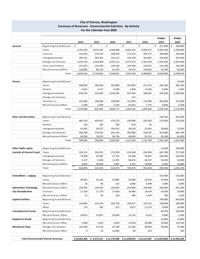#### **City of Cheney, Washington Summary of Revenues - Governmental Activities - By Activity For the Calendar Year 2020**

|                               |                                               |                                   |                                |                          |                                 |                                   | <b>Budget</b>    | <b>Budget</b>     |
|-------------------------------|-----------------------------------------------|-----------------------------------|--------------------------------|--------------------------|---------------------------------|-----------------------------------|------------------|-------------------|
|                               |                                               | 2014                              | 2015                           | 2016                     | 2017                            | 2018                              | 2019             | 2020              |
| <b>General</b>                | Beginning Fund Balance                        | \$                                | \$                             | \$                       | \$                              | \$                                | \$<br>417,900    | \$<br>200,000     |
|                               | Taxes                                         | 3,701,333                         | 3,673,282                      | 4,346,688                | 4,665,352                       | 4,994,227                         | 4,941,500        | 5,330,600         |
|                               | Licenses                                      | 141,922                           | 270,276                        | 360,476                  | 273,273                         | 302,777                           | 280,000          | 250,400           |
|                               | Intergovermental                              | 299,731                           | 303,401                        | 323,212                  | 339,378                         | 343,867                           | 316,200          | 325,500           |
|                               | Charges for Services                          | 2,231,253                         | 2,263,608                      | 2,297,132                | 2,477,473                       | 2,362,359                         | 2,476,500        | 2,455,900         |
|                               | <b>Fines and Forfeits</b>                     | 157,011                           | 133,785                        | 149,144                  | 163,249                         | 145,675                           | 152,100          | 150,500           |
|                               | Miscellaneous/Other                           | 118,085                           | 85,510                         | 61,439                   | 34,474                          | 159,962                           | 55,700           | 85,600            |
|                               | Total                                         | 6,649,335                         | 6,729,862                      | 7,538,091                | 7,953,199                       | 8,308,867                         | 8,639,900        | 8,798,500         |
|                               |                                               |                                   |                                |                          |                                 |                                   |                  |                   |
| Streets                       | Beginning Fund Balance                        | $\overline{\phantom{a}}$          | $\overline{a}$                 | $\overline{\phantom{a}}$ | $\overline{\phantom{a}}$        | $\overline{\phantom{a}}$          |                  | 13,500            |
|                               | Taxes                                         | 408,829                           | 383,018                        | 402,868                  | 454,963                         | 471,313                           | 450,100          | 482,100           |
|                               | Permits                                       | 4,025                             | 4,757                          | 6,580                    | 2,958                           | 12,564                            | 6,000            | 2,500             |
|                               | Intergovernmental                             | 636,762                           | 314,998                        | 1,320,285                | 637,466                         | 589,081                           | 294,400          | 1,580,600         |
|                               | Charges for Services                          |                                   |                                |                          | 517                             |                                   |                  |                   |
|                               | Transfers In                                  | 221,483                           | 146,000                        | 158,900                  | 125,000                         | 125,000                           | 263,000          | 125,000           |
|                               | Miscellaneous/Other                           | 5,589                             | 5,209                          | 1,544                    | 42,652                          | 7,735                             | 4,600            | 6,700             |
|                               | Total                                         | 1,276,688                         | 853,982                        | 1,890,177                | 1,263,556                       | 1,205,693                         | 1,018,100        | 2,210,400         |
|                               |                                               |                                   |                                |                          |                                 |                                   |                  |                   |
| <b>Parks and Recreation</b>   | Beginning Fund Balance                        | $\overline{\phantom{a}}$          | $\overline{\phantom{a}}$       | $\overline{\phantom{a}}$ |                                 | $\overline{\phantom{a}}$          | 148,700          | 642,000           |
|                               | Taxes                                         | 485,143                           | 454,567                        | 478,170                  | 539,906                         | 559,342                           | 515,000          | 570,200           |
|                               | Permits                                       | 210                               | 195                            | 340                      | 810                             | 65                                |                  |                   |
|                               | Intergovernmental                             | 41,941                            | 30,527                         | 109,161                  | 39,239                          | 23,581                            | 28,800           | 13,500            |
|                               | Charges for Services                          | 403,506                           | 379,545                        | 441,545                  | 495,480                         | 459,597                           | 567,600          | 605,700           |
|                               | Miscellaneous/Other                           | 60,036                            | 74,075                         | 36,736                   | 45,859                          | 93,115                            | 95,200           | 81,000            |
|                               | Total                                         | 990,836                           | 938,909                        | 1,065,952                | 1,121,294                       | 1,135,700                         | 1,355,300        | 1,912,400         |
|                               |                                               |                                   |                                |                          |                                 |                                   |                  |                   |
| <b>Other Public safety</b>    | Beginning Fund Balance                        | $\overline{\phantom{a}}$          | $\overline{\phantom{0}}$       | $\overline{\phantom{a}}$ | $\overline{\phantom{a}}$        | $\overline{\phantom{a}}$          | 12,500           | 109,000           |
| (outside of General Fund)     | Taxes                                         | 529,121                           | 545,921                        | 573,550                  | 613,649                         | 654,994                           | 667,300          | 727,100           |
|                               | Intergovernmantal                             | 74,038                            | 43,887                         | 27,742                   | 61,698                          | 78,947                            | 100,400          | 104,600           |
|                               | Charges of Services                           | 5,157                             | 4,168                          | 12,281                   | 48,415                          | 48,147                            | 52,600           | 52,600            |
|                               | Miscellaneous/Other                           | 8,640                             | 20,038                         | 2,897                    | 4,312                           | 18,950                            | 6,600            | 16,800            |
|                               | Total                                         | 616,956                           | 614,014                        | 616,470                  | 728,074                         | 801,038                           | 839,400          | 1,010,100         |
|                               |                                               |                                   |                                |                          |                                 |                                   |                  |                   |
| Hotel/Motel - Lodging         | Beginning Fund Balance                        | $\overline{\phantom{a}}$          | $\overline{\phantom{a}}$       | $\sim$                   | $\overline{\phantom{a}}$        |                                   | 155,000          | 155,000           |
|                               | Taxes                                         | 38,825                            | 42,333                         | 47,885                   | 50,660                          | 59,326                            | 55,000           | 55,000            |
|                               | Miscellaneous Other                           | 26                                | 86                             | 313                      | 2,883                           | 2,698                             | 2,000            | 3,000             |
| <b>Information Technology</b> | Miscellaneous Other                           | 194,403                           | 144,633                        | 192,053                  | 231,866                         | 249,906                           | 456,000          | 391,500           |
| <b>City Beautification</b>    | Licenses<br>Miscellaneous Other               | 17,320                            | 17,770                         | 17,830                   | 16,860                          | 18,534                            | 16,900           | 19,800            |
|                               |                                               | 21<br>$\overline{\phantom{a}}$    | 58<br>$\overline{\phantom{a}}$ | 160<br>$\sim$            | 389<br>$\overline{\phantom{a}}$ | 1,204<br>$\overline{\phantom{a}}$ | 700<br>740,000   | 1,500<br>950,000  |
| <b>Capital Facilities</b>     | Beginning Fund Balance<br>Taxes               |                                   |                                | 292,750                  |                                 |                                   | 140,000          | 100,000           |
|                               |                                               | 133,664                           | 152,146                        |                          | 228,127                         | 222,212                           |                  |                   |
|                               | Other                                         | 179                               | 285                            | 671                      | 3,877                           | 11,274                            | 6,000            | 16,000<br>100,000 |
| <b>Unemployment Comp</b>      | Beginning Fund Balance<br>Miscellaneous Other | $\blacksquare$                    | $\overline{\phantom{a}}$       | $\overline{\phantom{a}}$ | $\overline{\phantom{a}}$        | $\overline{\phantom{a}}$          | 96,100           |                   |
|                               |                                               | 24,812                            | 25,837                         | 26,690                   | 14,116                          | 8,331                             | 6,600            | 1,500             |
| Equipment Rental              | Beginning Fund Balance                        | $\overline{\phantom{a}}$<br>7,648 | $\overline{\phantom{a}}$       | $\overline{\phantom{a}}$ | $\overline{\phantom{a}}$        | $\overline{\phantom{a}}$          | 16,000           | 12,800            |
| <b>Mechanical Shop</b>        | Miscellaneous Other                           | 101,584                           | 7,810                          | 5,693<br>67,290          | 21,818                          | 36,488<br>66,003                  | 35,600<br>78,200 | 114,100<br>76,400 |
|                               | Charges for Services<br>Miscellaneous Other   | 9                                 | 47,576<br>16                   | 14,483                   | 61,245<br>89                    | 413                               |                  | 200               |
|                               |                                               |                                   |                                |                          |                                 |                                   |                  |                   |
|                               | <b>Total Governmental Activity Revenues</b>   | \$10,052,306                      | $\frac{1}{2}$ 9,575,317        | \$11,776,508             | \$11,698,053                    | \$12,127,687                      | \$13,656,800     | \$15,928,200      |
|                               |                                               |                                   |                                |                          |                                 |                                   |                  |                   |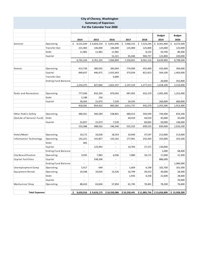| <b>City of Cheney, Washington</b><br><b>Summary of Expenses</b><br>For the Calendar Year 2020 |                            |                          |                          |                          |                          |                          |                                                                                                                                                                              |               |
|-----------------------------------------------------------------------------------------------|----------------------------|--------------------------|--------------------------|--------------------------|--------------------------|--------------------------|------------------------------------------------------------------------------------------------------------------------------------------------------------------------------|---------------|
|                                                                                               |                            |                          |                          |                          |                          |                          |                                                                                                                                                                              |               |
|                                                                                               |                            |                          |                          |                          |                          |                          | <b>Budget</b>                                                                                                                                                                | <b>Budget</b> |
|                                                                                               |                            | 2014                     | 2015                     | 2016                     | 2017                     | 2018                     | 2019                                                                                                                                                                         | 2020          |
| General                                                                                       | Operating                  | \$6,531,639              | \$6,603,210              | \$6,851,696              | \$7,060,155              | \$7,523,244              | \$3,341,400                                                                                                                                                                  | \$8,373,200   |
|                                                                                               | Transfer Out               | 221,483                  | 146,000                  | 146,000                  | 125,000                  | 125,000                  | 125,000                                                                                                                                                                      | 125,000       |
|                                                                                               | Debt                       | 11,982                   | 11,982                   | 11,982                   | $\overline{\phantom{a}}$ | 8,135                    | 50,700                                                                                                                                                                       | 80,300        |
|                                                                                               | Capital                    | $\overline{\phantom{a}}$ | ÷,                       | 51,221                   | 65,446                   | 904,737                  | 122,800                                                                                                                                                                      | 220,000       |
|                                                                                               |                            | 6,765,104                | 6,761,192                | 7,060,899                | 7,250,601                | 8,561,116                | 8,639,900                                                                                                                                                                    | 8,798,500     |
|                                                                                               |                            |                          |                          |                          |                          |                          |                                                                                                                                                                              |               |
| Streets                                                                                       | Operating                  | 413,738                  | 380,592                  | 383,694                  | 774,090                  | 455,400                  | 433,400                                                                                                                                                                      | 394,600       |
|                                                                                               | Capital                    | 840,637                  | 446,472                  | 1,431,643                | 373,034                  | 821,813                  | 564,100                                                                                                                                                                      | 1,463,000     |
|                                                                                               | Transfer Out               |                          | $\sim$                   | 6,000                    |                          |                          |                                                                                                                                                                              |               |
|                                                                                               | <b>Ending Fund Balance</b> |                          |                          |                          |                          |                          | 20,600                                                                                                                                                                       | 352,800       |
|                                                                                               |                            | 1,254,375                | 827,064                  | 1,821,337                | 1,147,124                | 1,277,213                | 1,018,100                                                                                                                                                                    | 2,210,400     |
|                                                                                               |                            |                          |                          |                          |                          |                          |                                                                                                                                                                              |               |
| Parks and Recreation                                                                          | Operating                  | 777,030                  | 832,293                  | 876,043                  | 987,402                  | 932,270                  | 1,095,300                                                                                                                                                                    | 1,252,400     |
|                                                                                               | Debt                       | 2,188                    | 156                      | ÷.                       |                          | L.                       |                                                                                                                                                                              |               |
|                                                                                               | Capital                    | 39,363                   | 21,973                   | 7,539                    | 24,335                   | $\overline{\phantom{a}}$ | 260,000                                                                                                                                                                      | 660,000       |
|                                                                                               |                            | 818,581                  | 854,422                  | 883,582                  | 1,011,737                | 932,270                  | 1,355,300                                                                                                                                                                    | 1,912,400     |
|                                                                                               |                            |                          |                          |                          |                          |                          |                                                                                                                                                                              |               |
| Other Public Safety                                                                           | Operating                  | 480,561                  | 466,589                  | 538,801                  | 480,413                  | 594,549                  | 744,400                                                                                                                                                                      | 819,100       |
| (Outide of General Fund)                                                                      | Debt                       |                          |                          |                          | 44,919                   | 44,919                   | 45,000                                                                                                                                                                       | 45,000        |
|                                                                                               | Capital                    | 52,827                   | 21,973                   | 7,539                    |                          | 60,065                   | 50,000                                                                                                                                                                       | 146,000       |
|                                                                                               |                            | 533,388                  | 488,562                  | 546,340                  | 525,332                  | 699,533                  | 839,400                                                                                                                                                                      | 1,010,100     |
|                                                                                               |                            |                          |                          |                          |                          |                          |                                                                                                                                                                              |               |
| Hotel/Motel                                                                                   | Operating                  | 19,172                   | 16,028                   | 18,554                   | 16,940                   | 37,547                   | 212,000                                                                                                                                                                      | 213,000       |
| Information Technology                                                                        | Operating                  | 141,221                  | 141,857                  | 142,162                  | 177,961                  | 232,264                  | 325,000                                                                                                                                                                      | 323,100       |
|                                                                                               | Debt                       | 465                      |                          |                          |                          |                          |                                                                                                                                                                              |               |
|                                                                                               | Capital                    | $\overline{\phantom{a}}$ | 123,492                  | $\overline{\phantom{a}}$ | 10,783                   | 27,371                   | 130,000                                                                                                                                                                      |               |
|                                                                                               | <b>Ending Fund Balance</b> | ÷                        | $\overline{\phantom{a}}$ | $\overline{\phantom{a}}$ | $\overline{\phantom{a}}$ | $\omega$                 | 1,000                                                                                                                                                                        | 68,400        |
| City Beautification                                                                           | Operating                  | 3,035                    | 7,982                    | 6,036                    | 7,880                    | 10,171                   | 17,600                                                                                                                                                                       | 21,300        |
| Capital Facilities                                                                            | Capital                    |                          | 338,296                  |                          |                          |                          | 886,000                                                                                                                                                                      |               |
|                                                                                               | <b>Ending Fund Balance</b> | $\sim$                   | $\sim$                   | $\overline{\phantom{a}}$ | $\sim$                   | $\sim$                   | $\overline{\phantom{a}}$                                                                                                                                                     | 1,066,000     |
| Unemployment Comp                                                                             | Operating                  | 5,417                    | 649                      | $\overline{\phantom{a}}$ | 1,604                    | 4,199                    | 102,700                                                                                                                                                                      | 101,500       |
| Equipment Rental                                                                              | Operating                  | 10,548                   | 10,024                   | 13,326                   | 16,799                   | 29,413                   | 30,000                                                                                                                                                                       | 28,300        |
|                                                                                               | Debt                       | $\omega$                 |                          |                          | 1,935                    | 4,258                    | 21,600                                                                                                                                                                       | 28,600        |
|                                                                                               | Capital                    | $\overline{\phantom{a}}$ | $\omega$                 | $\omega$                 | $\omega$                 | $\overline{\phantom{a}}$ | $\overline{\phantom{a}}$                                                                                                                                                     | 70,000        |
| Mechanical Shop                                                                               | Operating                  | 88,610                   | 63,604                   | 57,850                   | 61,745                   | 70,401                   | 78,200                                                                                                                                                                       | 76,600        |
| <b>Total Expenses</b>                                                                         |                            |                          |                          |                          |                          |                          | $\frac{1}{2}$ 9,639,916 $\frac{1}{2}$ 9,633,173 $\frac{1}{2}$ 10,550,086 $\frac{1}{2}$ 10,230,441 $\frac{1}{2}$ 11,885,756 $\frac{1}{2}$ 13,656,800 $\frac{1}{2}$ 15,928,200 |               |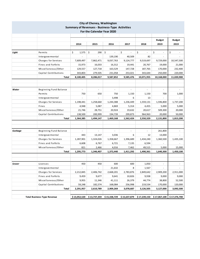| <b>City of Cheney, Washington</b><br><b>Summary of Revenues - Business-Type Activities</b><br>For the Calendar Year 2020 |                                    |                          |                          |                          |              |                             |               |               |
|--------------------------------------------------------------------------------------------------------------------------|------------------------------------|--------------------------|--------------------------|--------------------------|--------------|-----------------------------|---------------|---------------|
|                                                                                                                          |                                    |                          |                          |                          |              |                             |               |               |
|                                                                                                                          |                                    |                          |                          |                          |              |                             | <b>Budget</b> | <b>Budget</b> |
|                                                                                                                          |                                    | 2014                     | 2015                     | 2016                     | 2017         | 2018                        | 2019          | 2019          |
|                                                                                                                          |                                    |                          |                          |                          |              |                             |               |               |
| Light                                                                                                                    | Permits                            | \$<br>1,575              | \$<br>290                | \$                       | \$           | \$<br>$\sim$                | \$            | \$            |
|                                                                                                                          | Intergovermental                   |                          |                          | 139,190                  | 40,509       | 82                          |               |               |
|                                                                                                                          | Charges for Services               | 7,609,497                | 7,862,471                | 9,037,763                | 9,124,777    | 9,519,697                   | 9,729,000     | 10,547,500    |
|                                                                                                                          | Fines and Forfeits                 | 15,973                   | 16,033                   | 16,312                   | 19,441       | 20,767                      | 19,000        | 21,000        |
|                                                                                                                          | Miscellaneous/Other                | 129,557                  | 127,718                  | 163,529                  | 147,728      | 187,765                     | 170,000       | 232,400       |
|                                                                                                                          | Capital Contributions              | 343,803                  | 279,505                  | 231,058                  | 253,021      | 343,644                     | 250,000       | 220,000       |
|                                                                                                                          | Total                              | 8,100,405                | 8,286,017                | 9,587,852                | 9,585,476    | 10,071,955                  | 10,168,000    | 11,020,900    |
|                                                                                                                          |                                    |                          |                          |                          |              |                             |               |               |
| Water                                                                                                                    | Beginning Fund Balance             | $\overline{\phantom{a}}$ | $\overline{\phantom{a}}$ | $\overline{\phantom{a}}$ | ÷,           | $\overline{\phantom{a}}$    | ÷.            |               |
|                                                                                                                          | Permits                            | 750                      | 650                      | 750                      | 1,150        | 1,150                       | 700           | 1,000         |
|                                                                                                                          | Intergovermental                   | $\overline{\phantom{a}}$ |                          | 3,498                    | 6            | 13                          |               |               |
|                                                                                                                          | Charges for Services               | 1,198,441                | 1,258,660                | 1,244,388                | 1,236,449    | 1,559,131                   | 1,596,800     | 1,737,200     |
|                                                                                                                          | Fines                              | 4,948                    | 5,087                    | 4,869                    | 5,314        | 4,455                       | 5,000         | 5,000         |
|                                                                                                                          | Miscellaneous/Other                | 21,746                   | 28,751                   | 20,924                   | 19,632       | 20,617                      | 509,300       | 20,000        |
|                                                                                                                          | Capital Contributions              | 138,500                  | 200,999                  | 194,739                  | 299,873      | 964,963                     | 20,000        | 50,000        |
|                                                                                                                          | Total                              | 1,364,385                | 1,494,147                | 1,469,168                | 1,562,424    | 2,550,329                   | 2,131,800     | 1,813,200     |
|                                                                                                                          |                                    |                          |                          |                          |              |                             |               |               |
| Garbage                                                                                                                  | Beginning Fund Balance             | $\sim$                   | ÷,                       |                          |              |                             | 261,800       |               |
|                                                                                                                          | Intergovermental                   | 443                      | 13,147                   | 3,036                    | 6            | 12                          | 13,000        |               |
|                                                                                                                          | Charges for Services               | 1,287,901                | 1,324,026                | 1,358,667                | 1,396,689    | 1,434,240                   | 1,360,500     | 1,435,100     |
|                                                                                                                          | <b>Fines and Forfeits</b>          | 6,608                    | 6,767                    | 6,721                    | 7,135        | 6,594                       |               |               |
|                                                                                                                          | Miscellaneous/Other                | 821                      | 2,466                    | 4,016                    | 7,462        | 49,515                      | 5,000         | 15,000        |
|                                                                                                                          | Total                              | 1,295,773                | 1,346,407                | 1,372,440                | 1,411,292    | 1,490,361                   | 1,640,300     | 1,450,100     |
|                                                                                                                          |                                    |                          |                          |                          |              |                             |               |               |
| Sewer                                                                                                                    | Licenses                           | 450                      | 450                      | 600                      | 600          | 1,050                       | $\sim$        |               |
|                                                                                                                          | Intergovermental                   | $\sim$                   | $\sim$                   | 21,632                   | 8            | 1,567                       | $\sim$        |               |
|                                                                                                                          | Charges for Services               | 2,212,845                | 2,406,742                | 2,668,201                | 2,783,876    | 2,849,642                   | 2,909,200     | 2,911,000     |
|                                                                                                                          | Fines and Forfeits                 | 9,459                    | 9,677                    | 9,641                    | 10,826       | 9,938                       | 9,000         | 9,000         |
|                                                                                                                          | Miscellaneous/Other                | 9,955                    | 11,346                   | 41,111                   | 26,379       | 44,774                      | 38,800        | 52,500        |
|                                                                                                                          | Capital Contributions              | 59,248                   | 182,574                  | 168,084                  | 256,998      | 219,534                     | 170,000       | 120,000       |
|                                                                                                                          | Total                              | 2,291,957                | 2,610,789                | 2,909,269                | 3,078,687    | 3,126,505                   | 3,127,000     | 3,092,500     |
|                                                                                                                          | <b>Total Business-Type Revenue</b> | \$13,052,520             | \$13,737,359             | \$15,338,729             | \$15,637,879 | $$17,239,150$ $$17,067,100$ |               | \$17,376,700  |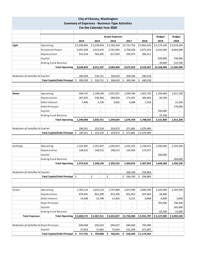| <b>City of Cheney, Washington</b>                                                   |                                 |                          |                              |                          |                          |                          |               |               |  |  |
|-------------------------------------------------------------------------------------|---------------------------------|--------------------------|------------------------------|--------------------------|--------------------------|--------------------------|---------------|---------------|--|--|
| <b>Summary of Expenses - Business-Type Activities</b><br>For the Calendar Year 2020 |                                 |                          |                              |                          |                          |                          |               |               |  |  |
|                                                                                     |                                 |                          |                              |                          |                          |                          |               |               |  |  |
|                                                                                     |                                 |                          |                              | <b>Acutal Expenses</b>   |                          |                          | <b>Budget</b> | <b>Budget</b> |  |  |
|                                                                                     |                                 | 2014                     | 2015                         | 2016                     | 2017                     | 2018                     | 2019          | 2020          |  |  |
| Light                                                                               | Operating                       | \$2,599,883              | \$2,539,878                  | \$2,765,434              | \$2,722,756              | \$2,962,623              | \$3,174,100   | \$3,078,200   |  |  |
|                                                                                     | Purcahsed Power                 | 5,497,028                | 5,415,674                    | 5,701,493                | 5,758,200                | 5,972,253                | 6,334,500     | 6,693,000     |  |  |
|                                                                                     | Depreciation                    | 541,918                  | 565,695                      | 617,033                  | 592,973                  | 383,511                  |               |               |  |  |
|                                                                                     | Capital                         |                          |                              |                          |                          |                          | 620,000       | 730,000       |  |  |
|                                                                                     | <b>Ending Fund Balance</b>      |                          |                              | $\sim$                   |                          |                          | 39,400        | 519,700       |  |  |
|                                                                                     | <b>Total Operating</b>          | 8,638,829                | 8,521,247                    | 9,083,960                | 9,073,929                | 9,318,387                | 10,168,000    | 11,020,900    |  |  |
| Reduction of Cash/No Ex Capital                                                     |                                 | 280,209                  | 526,721                      | 168,620                  | 369,346                  | 440,528                  |               |               |  |  |
|                                                                                     | Total Capital/Debt Principal \$ | 280,209                  | Ś.<br>526,721                | Ś.<br>168,620            | \$<br>369,346            | \$<br>440,528            |               |               |  |  |
|                                                                                     |                                 |                          |                              |                          |                          |                          |               |               |  |  |
|                                                                                     |                                 |                          |                              |                          |                          |                          |               |               |  |  |
| Water                                                                               | Operating                       | 994,737                  | 1,108,540                    | 1,057,037                | 1,399,784                | 1,401,754                | 1,709,400     | 1,611,700     |  |  |
|                                                                                     | Depreciation                    | 287,835                  | 536,483                      | 288,830                  | 275,497                  | 383,963                  | 96,700        |               |  |  |
|                                                                                     | Debt Interest                   | 7,496                    | 5,728                        | 3,962                    | 3,488                    | 2,318                    |               | 31,500        |  |  |
|                                                                                     | Debt Principal                  | $\overline{\phantom{a}}$ | $\qquad \qquad \blacksquare$ | $\overline{\phantom{a}}$ |                          | $\overline{\phantom{a}}$ |               | 170,000       |  |  |
|                                                                                     | Capital                         | $\blacksquare$           | $\overline{\phantom{0}}$     | $\overline{\phantom{a}}$ | $\overline{\phantom{a}}$ | $\overline{\phantom{a}}$ | 250,000       |               |  |  |
|                                                                                     | <b>Ending Fund Balance</b>      |                          |                              |                          |                          |                          | 75,700        |               |  |  |
|                                                                                     | <b>Total Operating</b>          | 1,290,068                | 1,650,751                    | 1,349,829                | 1,678,769                | 1,788,035                | 2,131,800     | 1,813,200     |  |  |
| Reduction of Cash/No Ex Capital                                                     |                                 | 189,351                  | 252,519                      | 329,973                  | 371,885                  | 1,070,489                |               |               |  |  |
|                                                                                     | Total Capital/Debt Principal \$ | 189,351                  | \$<br>252,519                | \$<br>329,973            | \$<br>371,885            | \$1,070,489              |               |               |  |  |
|                                                                                     |                                 |                          |                              |                          |                          |                          |               |               |  |  |
|                                                                                     |                                 |                          |                              |                          |                          |                          |               |               |  |  |
| Garbage                                                                             | Operating                       | 1,325,901                | 1,191,637                    | 1,245,013                | 1,321,103                | 1,234,015                | 1,440,300     | 1,245,500     |  |  |
|                                                                                     | Depreciation                    | 148,532                  | 148,512                      | 148,512                  | 142,950                  | 173,977                  |               |               |  |  |
|                                                                                     | Capital                         |                          |                              |                          |                          |                          | 200,000       |               |  |  |
|                                                                                     | <b>Ending Fund Balance</b>      |                          |                              |                          |                          |                          |               | 204,600       |  |  |
|                                                                                     | <b>Total Operating</b>          | 1,474,433                | 1,340,149                    | 1,393,525                | 1,464,053                | 1,407,992                | 1,640,300     | 1,450,100     |  |  |
| Reduction of Cash/No Ex Capital                                                     |                                 |                          |                              |                          | 266,100                  | 294,804                  |               |               |  |  |
|                                                                                     | Total Capital/Debt Principal \$ | $\overline{a}$           | \$<br>$\blacksquare$         | \$<br>$\blacksquare$     | \$266,100                | \$<br>294,804            |               |               |  |  |
|                                                                                     |                                 |                          |                              |                          |                          |                          |               |               |  |  |
|                                                                                     |                                 |                          |                              |                          |                          |                          |               |               |  |  |
| Sewer                                                                               | Operating                       | 1,705,116                | 1,632,114                    | 1,797,808                | 1,927,496                | 2,085,346                | 2,326,300     | 2,164,700     |  |  |
|                                                                                     | Depreciation                    | 879,491                  | 822,399                      | 813,256                  | 821,653                  | 837,663                  | 26,600        |               |  |  |
|                                                                                     | Debt Interest                   | 15,568                   | 12,798                       | 11,963                   | 9,231                    | 8,698                    | 6,000         | 3,600         |  |  |
|                                                                                     | Dept Principal                  | $\overline{\phantom{a}}$ | $\overline{\phantom{0}}$     | $\overline{\phantom{a}}$ | $\overline{\phantom{0}}$ | $\overline{\phantom{a}}$ | 705,900       | 708,200       |  |  |
|                                                                                     | Capital                         |                          | $\overline{\phantom{0}}$     | $\overline{\phantom{a}}$ | $\overline{\phantom{a}}$ | $\overline{\phantom{a}}$ |               | 185,000       |  |  |
|                                                                                     | <b>Ending Fund Balance</b>      |                          |                              |                          |                          |                          | 62,200        | 31,000        |  |  |
| <b>Total Expenses</b>                                                               | Total Operating \$2,600,175     |                          | \$2,467,311                  | \$2,623,027              | \$2,758,380              | \$2,931,707              | \$3,127,000   | \$3,092,500   |  |  |
|                                                                                     |                                 |                          |                              |                          |                          |                          |               |               |  |  |
| Reduction of Cash/No Ex Dept Principal                                              |                                 | 690,648                  | 692,623                      | 694,627                  | 696,660                  | 703,496                  |               |               |  |  |
|                                                                                     | Capital                         | 27,053                   | 17,065                       | 72,014                   | 221,549                  | 471,067                  |               |               |  |  |
|                                                                                     | Total Capital/Debt Principal \$ | 717,701                  | \$<br>709,688                | \$<br>766,641            | \$918,209                | \$1,174,563              |               |               |  |  |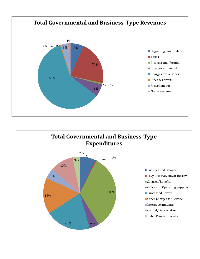

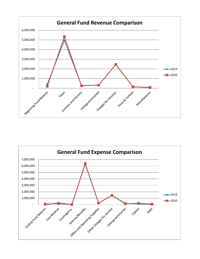

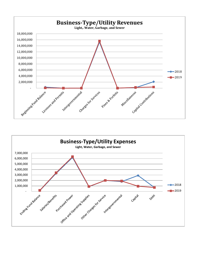

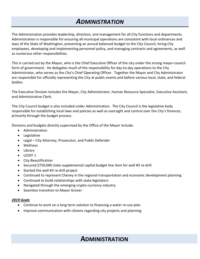## *ADMINISTRATION*

The Administration provides leadership, direction, and management for all City functions and departments. Administration is responsible for ensuring all municipal operations are consistent with local ordinances and laws of the State of Washington, presenting an annual balanced budget to the City Council, hiring City employees, developing and implementing personnel policy, and managing contracts and agreements, as well as numerous other responsibilities.

This is carried out by the Mayor, who is the Chief Executive Officer of the city under the strong mayor-council form of government. He delegates much of the responsibility for day-to-day operations to the City Administrator, who serves as the City's Chief Operating Officer. Together the Mayor and City Administrator are responsible for officially representing the City at public events and before various local, state, and federal bodies.

The Executive Division includes the Mayor, City Administrator, Human Resource Specialist, Executive Assistant, and Administrative Clerk.

The City Council budget is also included under Administration. The City Council is the legislative body responsible for establishing local laws and policies as well as oversight and control over the City's finances, primarily through the budget process.

Divisions and budgets directly supervised by the Office of the Mayor include:

- Administration
- Legislative
- Legal City Attorney, Prosecutor, and Public Defender
- Wellness
- Library
- LEOFF 1
- City Beautification
- Secured \$750,000 state supplemental capital budget line item for well #3 re-drill
- Started the well #3 re-drill project
- Continued to represent Cheney in the regional transportation and economic development planning
- Continued to build relationships with state legislators
- Navigated through the emerging crypto-currency industry
- Seamless transition to Mayor Grover

#### *2019 Goals*

- Continue to work on a long term solution to financing a water re-use plan
- Improve communication with citizens regarding city projects and planning

### **ADMINISTRATION**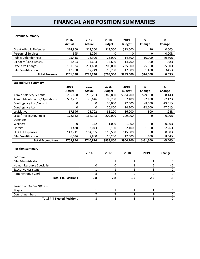### **FINANCIAL AND POSITION SUMMARIES**

| <b>Revenue Summary</b>       |           |           |               |               |           |           |  |
|------------------------------|-----------|-----------|---------------|---------------|-----------|-----------|--|
|                              | 2016      | 2017      | 2018          | 2019          |           | %         |  |
|                              | Actual    | Actual    | <b>Budget</b> | <b>Budget</b> | Change    | Change    |  |
| Grant - Public Defender      | \$14,800  | \$13,500  | \$13,500      | \$13,500      | \$0       | 0.00%     |  |
| <b>Personnel Services</b>    | 595       | 1,290     | 0             | 0             | 0         | 0.00%     |  |
| <b>Public Defender Fees</b>  | 25,418    | 26,990    | 25,000        | 14,800        | $-10,200$ | $-40.80%$ |  |
| <b>Billboard/Land Leases</b> | 1,403     | 14,603    | 14,600        | 14,700        | 100       | .68%      |  |
| <b>Executive Charges</b>     | 191.124   | 211,608   | 200,000       | 225,000       | 25,000    | 25.00%    |  |
| City Beautification          | 17,990    | 17,249    | 16,200        | 17,600        | 1,400     | 8.645%    |  |
| <b>Total Revenue</b>         | \$251,330 | \$285,240 | \$269,300     | \$285,600     | \$16,300  | 6.05%     |  |

| <b>Expenditure Summary</b>          |           |           |               |               |              |           |
|-------------------------------------|-----------|-----------|---------------|---------------|--------------|-----------|
|                                     | 2016      | 2017      | 2018          | 2019          | Ś            | %         |
|                                     | Actual    | Actual    | <b>Budget</b> | <b>Budget</b> | Change       | Change    |
| Admin Salaries/Benefits             | \$235,688 | \$296,263 | \$363,800     | \$334,200     | $-$ \$29,600 | $-8.14%$  |
| <b>Admin Maintenance/Operations</b> | \$83,251  | 78,646    | 99,200        | 97,100        | $-2,100$     | $-2.12%$  |
| Contingency Acct/Levy Lift          | 0         | 0         | 36,000        | 27,500        | $-8,500$     | $-23.61%$ |
| Contingency Acct                    | 0         | 0         | 26,800        | 14,200        | $-12,600$    | $-47.01%$ |
| Legislative                         | 67,396    | 75,702    | 85,200        | 86,000        | 800          | .94%      |
| Legal/Prosecutor/Public             | 172,332   | 164,143   | 209,000       | 209.000       | $\Omega$     | 0.00%     |
| Defender                            |           |           |               |               |              |           |
| Wellness                            | $\Omega$  | 372       | 1,000         | 1,000         | 0            | 0.00%     |
| Library                             | 1,430     | 3,043     | 3,100         | 2,100         | $-1,000$     | $-32.26%$ |
| <b>LEOFF 1 Expenses</b>             | 143,711   | 114,765   | 115,500       | 115,500       | 0            | 0.00%     |
| City Beautification                 | 6,036     | 7,880     | 16,200        | 17,600        | 1,400        | 8.64%     |
| <b>Total Expenditure</b>            | \$709.844 | \$740.814 | \$955,800     | \$904,200     | $$-51,600$   | $-5.40%$  |

| <b>Position Summary</b>            |      |      |      |      |        |
|------------------------------------|------|------|------|------|--------|
|                                    | 2016 | 2017 | 2018 | 2019 | Change |
| <b>Full Time</b>                   |      |      |      |      |        |
| City Administrator                 |      |      |      |      |        |
| Human Resource Specialist          | 0    |      |      | .5   | $-5$   |
| <b>Executive Assistant</b>         |      |      |      |      |        |
| <b>Administrative Clerk</b>        | .8   | .8   | 0    | ſ    |        |
| <b>Total FTE Positions</b>         | 2.8  | 2.8  | 3.0  | 2.5  | -.5    |
|                                    |      |      |      |      |        |
| Part-Time Elected Officials        |      |      |      |      |        |
| Mayor                              | 4    |      |      |      |        |
| Councilmembers                     | ⇁    | ⇁    | ⇁    | ⇁    |        |
| <b>Total P-T Elected Positions</b> | 8    | 8    | 8    | 8    | 0      |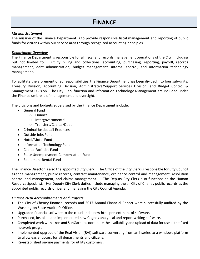#### *Mission Statement*

The mission of the Finance Department is to provide responsible fiscal management and reporting of public funds for citizens within our service area through recognized accounting principles.

#### *Department Overview*

The Finance Department is responsible for all fiscal and records management operations of the City, including but not limited to: utility billing and collections, accounting, purchasing, reporting, payroll, records management, debt administration, budget management, internal control, and information technology management.

To facilitate the aforementioned responsibilities, the Finance Department has been divided into four sub-units: Treasury Division, Accounting Division, Administrative/Support Services Division, and Budget Control & Management Division. The City Clerk function and Information Technology Management are included under the Finance umbrella of management and oversight.

The divisions and budgets supervised by the Finance Department include:

- General Fund
	- o Finance
	- o Intergovernmental
	- o Transfers/Capital/Debt
- Criminal Justice Jail Expenses
- Outside Jobs Fund
- Hotel/Motel Fund
- Information Technology Fund
- Capital Facilities Fund
- State Unemployment Compensation Fund
- Equipment Rental Fund

The Finance Director is also the appointed City Clerk. The Office of the City Clerk is responsible for City Council agenda management, public records, contract maintenance, ordinance control and management, resolution control and management, and claims management. The Deputy City Clerk also functions as the Human Resource Specialist. Her Deputy City Clerk duties include managing the all City of Cheney public records as the appointed public records officer and managing the City Council Agenda.

#### *Finance 2018 Accomplishments and Projects*

- The City of Cheney financial records and 2017 Annual Financial Report were successfully audited by the Washington State Auditor's Office.
- Upgraded financial software to the cloud and a new html presentment of software.
- Purchased, installed and implemented new Cognos analytical and report writing software.
- Completed work with Itron and SunGard to coordinate the availability and upload of data for use in the fixed network program.
- Implemented upgrade of the Real Vision (RVI) software converting from an i-series to a windows platform to allow easier access for all departments and citizens.
- Re-established on-line payments for utility customers.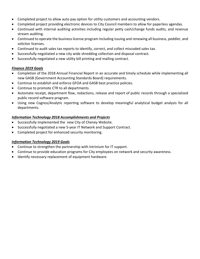- Completed project to allow auto pay option for utility customers and accounting vendors.
- Completed project providing electronic devices to City Council members to allow for paperless agendas.
- Continued with internal auditing activities including regular petty cash/change funds audits, and revenue stream auditing.
- Continued to operate the business license program including issuing and renewing all business, peddler, and solicitor licenses.
- Continued to audit sales tax reports to identify, correct, and collect miscoded sales tax.
- Successfully negotiated a new city wide shredding collection and disposal contract.
- Successfully negotiated a new utility bill printing and mailing contract.

#### *Finance 2019 Goals*

- Completion of the 2018 Annual Financial Report in an accurate and timely schedule while implementing all new GASB (Government Accounting Standards Board) requirements.
- Continue to establish and enforce GFOA and GASB best practice policies.
- Continue to promote CTR to all departments.
- Automate receipt, department flow, redactions, release and report of public records through a specialized public record software program.
- Using new Cognos/Analytic reporting software to develop meaningful analytical budget analysis for all departments.

#### *Information Technology 2018 Accomplishments and Projects*

- Successfully implemented the new City of Cheney Website.
- Successfully negotiated a new 5-year IT Network and Support Contract.
- Completed project for enhanced security monitoring.

#### *Information Technology 2019 Goals*

- Continue to strengthen the partnership with Intrinium for IT support.
- Continue to provide education programs for City employees on network and security awareness.
- Identify necessary replacement of equipment hardware.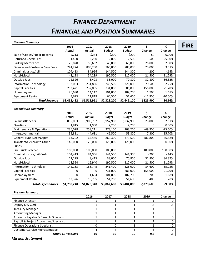## *FINANCE DEPARTMENT FINANCIAL AND POSITION SUMMARIES*

**FIRE**

| <b>Revenue Summary</b>                |             |             |               |               |              |            |
|---------------------------------------|-------------|-------------|---------------|---------------|--------------|------------|
|                                       | 2016        | 2017        | 2018          | 2019          | \$           | %          |
|                                       | Actual      | Actual      | <b>Budget</b> | <b>Budget</b> | Change       | Change     |
| Sale of Copies/Public Records         | \$213       | \$264       | \$200         | \$200         | \$0          | 0.00%      |
| <b>Returned Check Fees</b>            | 1,400       | 2,280       | 2,000         | 2,500         | 500          | 25.00%     |
| Parking Meter Fees                    | 26,820      | 56,662      | 40,000        | 65,000        | 25,000       | 62.50%     |
| <b>Finance and Customer Svce Fees</b> | 741,224     | 805,280     | 765,000       | 788,000       | 23,000       | 3.01%      |
| Criminal Justice/Jail                 | 104,413     | 84,956      | 144,500       | 144,300       | $-200$       | $-14%$     |
| Hotel/Motel                           | 48,198      | 54,289      | 190,500       | 212,000       | 21,500       | 11.29%     |
| Outside Jobs                          | 12,326      | 8,423       | 38,000        | 70,800        | 32,800       | 86.32%     |
| <b>Information Technology</b>         | 192,053     | 231,866     | 246,500       | 326,000       | 79,500       | 32.25%     |
| <b>Capital Facilities</b>             | 293,421     | 232,005     | 731,000       | 886,000       | 155,000      | 21.20%     |
| Unemployment                          | 26,690      | 14,117      | 101,000       | 102,700       | 1,700        | 1.68%      |
| <b>Equipment Rental</b>               | 5,693       | 21,819      | 64,500        | 51,600        | $-12,900$    | $-20.00\%$ |
| <b>Total Revenue</b>                  | \$1,452,432 | \$1,511,961 | \$2,323,200   | \$2,649,100   | \$325,900    | 14.16%     |
|                                       |             |             |               |               |              |            |
| <b>Expenditure Summary</b>            |             |             |               |               |              |            |
|                                       | 2016        | 2017        | 2018          | 2019          | \$           | %          |
|                                       | Actual      | Actual      | <b>Budget</b> | <b>Budget</b> | Change       | Change     |
| Salaries/Benefits                     | \$895,063   | \$905,707   | \$957,900     | \$932,900     | $-$ \$25,000 | $-2.61%$   |
| Overtime                              | 1,815       | 1,900       | 2,200         | 2,200         | 0            | 0.00%      |
| Maintenance & Operations              | 236,078     | 258,211     | 273,100       | 203,200       | $-69,900$    | $-25.60%$  |
| Intergovernmental                     | 35,811      | 44,681      | 46,500        | 53,800        | 7,300        | 15.70%     |
| General Fund Debt/Capital             | 63,202      | 65,446      | 860,300       | 373,500       | $-486,800$   | $-56.58%$  |

| Transfers/General to Other    | 146,000     | 125,000     | 125,000     | 125,000     | 0             | 0.00%       |
|-------------------------------|-------------|-------------|-------------|-------------|---------------|-------------|
| <b>Funds</b>                  |             |             |             |             |               |             |
| <b>Fire Truck Reserve</b>     | 100,000     | 100,000     | 100,000     | 0           | $-100,000$    | $-100.00\%$ |
| Criminal Justice/Jail Costs   | 104,413     | 84,956      | 144,500     | 144,300     | $-200$        | $-14%$      |
| Outside Jobs                  | 12,279      | 8,415       | 38,000      | 70,800      | 32,800        | 86.32%      |
| Hotel/Motel                   | 18,554      | 16,940      | 190,500     | 212,000     | 21,500        | 11.29%      |
| <b>Information Technology</b> | 142,163     | 188,745     | 241,400     | 326,000     | 84,600        | 35.05%      |
| Capital Facilities            | 0           | 0           | 731,000     | 886,000     | 155,000       | 21.20%      |
| Unemployment                  | 0           | 1,604       | 101,000     | 102,700     | 1,700         | 1.68%       |
| Equipment Rental              | 13,326      | 18,735      | 51,200      | 51,600      | 400           | .78%        |
| <b>Total Expenditures</b>     | \$1,758,240 | \$1,820,340 | \$3,862,600 | \$3,484,000 | $-$ \$378,600 | $-9.80%$    |

| <b>Position Summary</b>                 |      |      |      |      |        |
|-----------------------------------------|------|------|------|------|--------|
|                                         | 2016 | 2017 | 2018 | 2019 | Change |
| <b>Finance Director</b>                 |      |      |      |      |        |
| Deputy City Clerk                       |      |      |      | .5   | -.5    |
| <b>Treasury Manager</b>                 |      |      |      |      |        |
| <b>Accounting Manager</b>               |      |      |      |      |        |
| Accounts Payable & Benefits Specialist  |      |      |      |      |        |
| Payroll & Project Accounting Specialist |      |      |      |      |        |
| <b>Finance Operations Specialist</b>    |      |      |      |      |        |
| <b>Customer Service Representative</b>  | 4    | 4    | ੨    |      |        |
| <b>Total FTE Positions</b>              | 10   | 10   | 10   | 9.5  | - 5    |

*Mission Statement*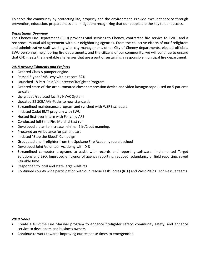To serve the community by protecting life, property and the environment. Provide excellent service through prevention, education, preparedness and mitigation; recognizing that our people are the key to our success.

#### *Department Overview*

The Cheney Fire Department (CFD) provides vital services to Cheney, contracted fire service to EWU, and a reciprocal mutual aid agreement with our neighboring agencies. From the collective efforts of our firefighters and administrative staff working with city management, other City of Cheney departments, elected officials, EWU personnel, neighboring fire departments, and the citizens of our community, we will continue to ensure that CFD meets the inevitable challenges that are a part of sustaining a responsible municipal fire department.

#### *2018 Accomplishments and Projects*

- Ordered Class A pumper engine
- Passed 6-year EMS Levy with a record 82%
- Launched 18 Part-Paid Volunteers/Firefighter Program
- Ordered state-of-the-art automated chest compression device and video laryngoscope (used on 5 patients to-date)
- Up-graded/replaced facility HVAC System
- Updated 22 SCBA/Air-Packs to new standards
- Streamlined maintenance program and synched with WSRB schedule
- Initiated Cadet EMT program with EWU
- Hosted first-ever Intern with Fairchild AFB
- Conducted full-time Fire Marshal test run
- Developed a plan to increase minimal 2 in/2 out manning.
- Procured an Ambulance for patient care
- Initiated "Stop the Bleed" Campaign
- Graduated one firefighter from the Spokane Fire Academy recruit school
- Developed Joint Volunteer Academy with D-3
- Streamlined computer programs to assist with records and reporting software. Implemented Target Solutions and ESO. Improved efficiency of agency reporting, reduced redundancy of field reporting, saved valuable time
- Responded to local and state large wildfires
- Continued county wide participation with our Rescue Task Forces (RTF) and West Plains Tech Rescue teams.

#### *2019 Goals*

- Create a full-time Fire Marshal program to enhance firefighter safety, community safety, and enhance service to developers and business owners
- Continue to work towards improving our response times to emergencies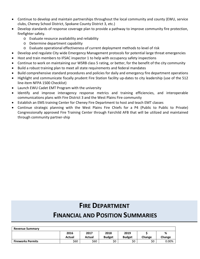- Continue to develop and maintain partnerships throughout the local community and county (EWU, service clubs, Cheney School District, Spokane County District 3, etc.)
- Develop standards of response coverage plan to provide a pathway to improve community fire protection, firefighter safety.
	- o Evaluate resource availability and reliability
	- o Determine department capability
	- o Evaluate operational effectiveness of current deployment methods to level of risk
- Develop and regulate City wide Emergency Management protocols for potential large threat emergencies
- Host and train members to IFSAC inspector 1 to help with occupancy safety inspections
- Continue to work on maintaining our WSRB class 5 rating, or better, for the benefit of the city community
- Build a robust training plan to meet all state requirements and federal mandates
- Build comprehensive standard procedures and policies for daily and emergency fire department operations
- Highlight and communicate fiscally prudent Fire Station facility up-dates to city leadership (use of the 512 line-item NFPA 1500 Checklist)
- Launch EWU Cadet EMT Program with the university
- Identify and improve interagency response metrics and training efficiencies, and interoperable communications plans with Fire District 3 and the West Plains Fire community
- Establish an EMS training Center for Cheney Fire Department to host and teach EMT classes
- Continue strategic planning with the West Plains Fire Chiefs for a P4 (Public to Public to Private) Congressionally approved Fire Training Center through Fairchild AFB that will be utilized and maintained through community partner-ship

### **FIRE DEPARTMENT**

### **FINANCIAL AND POSITION SUMMARIES**

| <b>Revenue Summary</b>   |        |        |               |               |        |          |
|--------------------------|--------|--------|---------------|---------------|--------|----------|
|                          | 2016   | 2017   | 2018          | 2019          |        | %        |
|                          | Actual | Actual | <b>Budget</b> | <b>Budget</b> | Change | Change   |
| <b>Fireworks Permits</b> | \$60   | \$60   | \$0           | \$0           | \$0    | $0.00\%$ |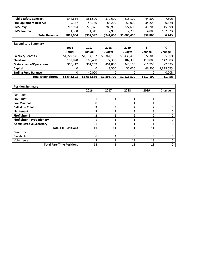| <b>Public Safety Contract</b> | 544.634   | 581.500   | 570,600   | 615.100     | 44.500    | 7.80%   |
|-------------------------------|-----------|-----------|-----------|-------------|-----------|---------|
| <b>Fire Equipment Reserve</b> | 9.137     | 48.150    | 84.200    | 50,000      | $-34.200$ | -40.62% |
| <b>EMS Levy</b>               | 262.924   | 276,371   | 283,900   | 327,600     | 43.700    | 15.39%  |
| <b>EMS Trauma</b>             | 1.308     | 1,311     | 2,900     | 7.700       | 4.800     | 162.52% |
| <b>Total Revenue</b>          | \$818,064 | \$907,392 | \$941,600 | \$1,000,400 | \$58,800  | 6.24%   |

| <b>Expenditure Summary</b>    |             |             |               |               |           |           |  |  |
|-------------------------------|-------------|-------------|---------------|---------------|-----------|-----------|--|--|
|                               | 2016        | 2017        | 2018          | 2019          |           | %         |  |  |
|                               | Actual      | Actual      | <b>Budget</b> | <b>Budget</b> | Change    | Change    |  |  |
| <b>Salaries/Benefits</b>      | \$1,229,571 | \$1,134,137 | \$1,364,100   | \$1,436,400   | \$72,300  | 5.30%     |  |  |
| <b>Overtime</b>               | 102,820     | 163,480     | 77,300        | 187,300       | 110,000   | 142.30%   |  |  |
| <b>Maintenance/Operations</b> | 310,412     | 301,269     | 451,800       | 440,100       | $-11,700$ | $-2.59%$  |  |  |
| Capital                       | 0           | 0           | 3,500         | 50,000        | 46,500    | 1,328.57% |  |  |
| <b>Ending Fund Balance</b>    | 0           | 40,000      | 0             | 0             |           | 0.00%     |  |  |
| <b>Total Expenditures</b>     | \$1,642,803 | \$1,638,886 | \$1,896,700   | \$2,113,800   | \$217,100 | 11.45%    |  |  |

| <b>Position Summary</b>          |      |          |                |      |          |
|----------------------------------|------|----------|----------------|------|----------|
|                                  | 2016 | 2017     | 2018           | 2019 | Change   |
| <b>Full Time</b>                 |      |          |                |      |          |
| <b>Fire Chief</b>                | 1    | 1        |                |      |          |
| <b>Fire Marshal</b>              | 0    | $\Omega$ |                |      |          |
| <b>Battalion Chief</b>           | 3    | 3        | $\overline{2}$ | ำ    | O        |
| Lieutenant                       | 3    | 3        | 3              | 3    | 0        |
| <b>Firefighter 2</b>             | ำ    | h        | 2              | ำ    | O        |
| Firefighter - Probationary       | 1    | 1        | 1              |      | $\Omega$ |
| <b>Administrative Secretary</b>  | 1    | 1        |                |      | ŋ        |
| <b>Total FTE Positions</b>       | 11   | 11       | 11             | 11   | n        |
| Part-Time                        |      |          |                |      |          |
| Residents                        | 6    | 4        | 0              | 0    |          |
| Volunteers                       | 8    | 1        | 18             | 18   | O        |
| <b>Total Part-Time Positions</b> | 14   | 5        | 18             | 18   | 0        |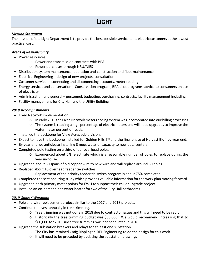### **LIGHT**

#### *Mission Statement*

The mission of the Light Department is to provide the best possible service to its electric customers at the lowest practical cost.

#### *Areas of Responsibility*

- Power resources
	- o Power and transmission contracts with BPA
	- o Power purchases through NRU/NIES
- Distribution system maintenance, operation and construction and fleet maintenance
- Electrical Engineering design of new projects, consultation
- Customer service -- connecting and disconnecting accounts, meter reading
- Energy services and conservation Conservation program, BPA pilot programs, advice to consumers on use of electricity
- Administration and general personnel, budgeting, purchasing, contracts, facility management including
- Facility management for City Hall and the Utility Building

#### *2018 Accomplishments*

- Fixed Network implementation
	- o In early 2018 the Fixed Network meter reading system was incorporated into our billing processes
	- o The system is reading a high percentage of electric meters and will need upgrades to improve the water meter percent of reads.
- Installed the backbone for View Acres sub-division.
- Expect to have the backbone installed for Golden Hills 5<sup>th</sup> and the final phase of Harvest Bluff by year end.
- By year end we anticipate installing 3 megawatts of capacity to new data centers.
- Completed pole testing on a third of our overhead poles.
	- o Experienced about 5% reject rate which is a reasonable number of poles to replace during the year in-house.
- Upgraded about 50 spans of old copper wire to new wire and will replace around 50 poles
- Replaced about 10 overhead feeder tie switches
	- o Replacement of the priority feeder tie switch program is about 75% completed.
- Completed the sectionalizing study which provides valuable information for the work plan moving forward.
- Upgraded both primary meter points for EWU to support their chiller upgrade project.
- Installed an on-demand hot-water heater for two of the City Hall bathrooms

#### *2019 Goals / Workplan*

- Pole and wire replacement project similar to the 2017 and 2018 projects.
- Continue to invest annually in tree trimming.
	- o Tree trimming was not done in 2018 due to contractor issues and this will need to be rebid
	- o Historically the tree trimming budget was \$50,000. We would recommend increasing that to \$60,000 for 2019 since tree trimming was not conducted in 2018.
- Upgrade the substation breakers and relays for at least one substation.
	- o The City has retained Craig Ripplinger, REL Engineering to do the design for this work.
	- o It will need to be preceded by updating the substation drawings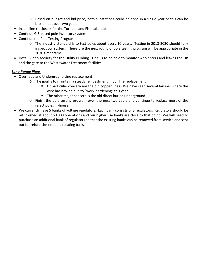- o Based on budget and bid price, both substations could be done in a single year or this can be broken out over two years.
- Install line re-closers for the Turnbull and Fish Lake taps.
- Continue GIS-based pole inventory system
- Continue the Pole Testing Program
	- o The industry standard is to test poles about every 10 years. Testing in 2018-2020 should fully inspect our system. Therefore the next round of pole testing program will be appropriate in the 2030 time frame.
- Install Video security for the Utility Building. Goal is to be able to monitor who enters and leaves the UB and the gate to the Wastewater Treatment facilities

#### *Long Range Plans*

- Overhead and Underground Line replacement
	- o The goal is to maintain a steady reinvestment in our line replacement.
		- **Of particular concern are the old copper lines. We have seen several failures where the** wire has broken due to "work-hardening" this year.
		- **The other major concern is the old direct buried underground.**
	- o Finish the pole testing program over the next two years and continue to replace most of the reject poles in-house.
- We currently have 5 banks of voltage regulators. Each bank consists of 3 regulators. Regulators should be refurbished at about 50,000 operations and our higher use banks are close to that point. We will need to purchase an additional bank of regulators so that the existing banks can be removed from service and sent out for refurbishment on a rotating basis.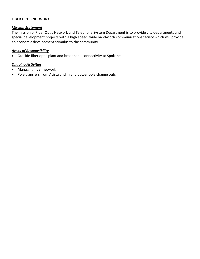#### **FIBER OPTIC NETWORK**

#### *Mission Statement*

The mission of Fiber Optic Network and Telephone System Department is to provide city departments and special development projects with a high speed, wide bandwidth communications facility which will provide an economic development stimulus to the community.

#### *Areas of Responsibility*

• Outside fiber optic plant and broadband connectivity to Spokane

#### *Ongoing Activities*

- Managing fiber network
- Pole transfers from Avista and Inland power pole change outs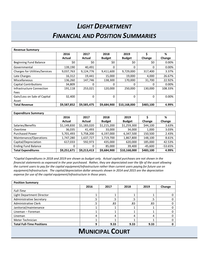## *LIGHT DEPARTMENT FINANCIAL AND POSITION SUMMARIES*

| <b>Revenue Summary</b>                |             |             |               |               |           |         |
|---------------------------------------|-------------|-------------|---------------|---------------|-----------|---------|
|                                       | 2016        | 2017        | 2018          | 2019          | Ś         | %       |
|                                       | Actual      | Actual      | <b>Budget</b> | <b>Budget</b> | Change    | Change  |
| <b>Beginning Fund Balance</b>         | \$0         | \$0         | \$0           | \$0           | \$0       | 0.00%   |
| Governmental                          | 139,190     | 40,491      | 0             | 0             | $\Omega$  | 0.00%   |
| <b>Charges for Utilities/Services</b> | 9,037,763   | 9,124,776   | 9,411,600     | 9,729,000     | 317,400   | 3.37%   |
| Late Charges                          | 16,312      | 19,441      | 15,000        | 19,000        | 4,000     | 26.67%  |
| Miscellaneous                         | 136,260     | 147,746     | 138,300       | 170,000       | 31,700    | 22.92%  |
| <b>Capital Contributions</b>          | 34,809      | 0           | 0             | 0             | 0         | 0.00%   |
| Infrastructure Connection             | 191,118     | 253.021     | 120.000       | 250.000       | 130.000   | 108.33% |
| Fees                                  |             |             |               |               |           |         |
| Gain/Loss on Sale of Capital          | 32,400      | 0           | 0             | 0             | 0         | 0.00%   |
| Asset                                 |             |             |               |               |           |         |
| <b>Total Revenue</b>                  | \$9,587,852 | \$9,585,475 | \$9,684,900   | \$10,168,000  | \$483,100 | 4.99%   |

| <b>Expenditure Summary</b> |             |             |               |               |           |           |
|----------------------------|-------------|-------------|---------------|---------------|-----------|-----------|
|                            | 2016        | 2017        | 2018          | 2019          |           | %         |
|                            | Actual      | Actual      | <b>Budget</b> | <b>Budget</b> | Change    | Change    |
| Salaries/Benefits          | \$1,149,830 | \$1,183,020 | \$1,215,200   | \$1,259,300   | \$44,100  | 3.63%     |
| Overtime                   | 36,035      | 41,493      | 33,000        | 34,000        | 1,000     | 3.03%     |
| <b>Purchased Power</b>     | 5,701,493   | 5,758,200   | 6,197,000     | 6,347,500     | 150,500   | 2.43%     |
| Maintenance/Operations     | 1,747,280   | 1,637,727   | 1,719,700     | 1,867,800     | 148,100   | 8.61%     |
| Capital/Depreciation       | 617,033     | 592,973     | 435,000       | 620,000       | 185,000   | 42.53%    |
| <b>Ending Fund Balance</b> | 0           | 0           | 85,000        | 39,400        | $-45,600$ | $-53.65%$ |
| <b>Total Expenditures</b>  | \$9,251,671 | \$9,213,413 | \$9,684,900   | \$10,168,000  | \$483,100 | 4.99%     |

\**Capital Expenditures in 2018 and 2019 are shown as budget only. Actual capital purchases are not shown in the financial statements as expensed in the year purchased. Rather, they are depreciated over the life of the asset allowing the current users to pay for the capital equipment/infrastructure rather than current users paying for future use on equipment/infrastructure. The capital/depreciation dollar amounts shown in 2014 and 2015 are the depreciation expense for use of the capital equipment/infrastructure in those years.* 

| <b>Position Summary</b>          |      |      |      |      |        |
|----------------------------------|------|------|------|------|--------|
|                                  | 2016 | 2017 | 2018 | 2019 | Change |
| <b>Full-Time</b>                 |      |      |      |      |        |
| Light Department Director        |      |      |      |      |        |
| <b>Administrative Secretary</b>  | .5   | .5   | .5   | .5   |        |
| <b>Administrative Clerk</b>      | .5   | .83  | .83  | .83  |        |
| Janitorial/maintenance           |      |      |      |      |        |
| Lineman - Foreman                |      |      |      |      |        |
| Lineman                          | 4    |      | 4    |      |        |
| Meter Technician                 |      |      |      |      |        |
| <b>Total Full-Time Positions</b> | 9    | 9.33 | 9.33 | 9.33 |        |

### **MUNICIPAL COURT**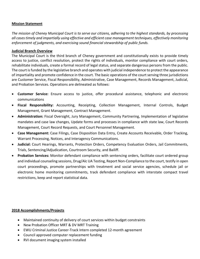#### **Mission Statement**

*The mission of Cheney Municipal Court is to serve our citizens, adhering to the highest standards, by processing all cases timely and impartially using effective and efficient case management techniques, effectively monitoring enforcement of judgments, and exercising sound financial stewardship of public funds.* 

#### **Judicial Branch Overview**

The Municipal Court is the third branch of Cheney government and constitutionally exists to provide timely access to justice, conflict resolution, protect the rights of individuals, monitor compliance with court orders, rehabilitate individuals, create a formal record of legal status, and separate dangerous persons from the public. The court is funded by the legislative branch and operates with judicial independence to protect the appearance of impartiality and promote confidence in the court. The basic operations of the court serving three jurisdictions are Customer Service, Fiscal Responsibility, Administrative, Case Management, Records Management, Judicial, and Probation Services. Operations are delineated as follows:

- **Customer Service:** Ensure access to justice, offer procedural assistance, telephonic and electronic communications
- **Fiscal Responsibility:** Accounting, Receipting, Collection Management, Internal Controls, Budget Management, Grant Management, Contract Management.
- **Administration:** Fiscal Oversight, Jury Management, Community Partnering, Implementation of legislative mandates and case law changes, Update forms and processes in compliance with state law, Court Records Management, Court Record Requests, and Court Personnel Management.
- **Case Management:** Case Filings, Case Disposition Data Entry, Create Accounts Receivable, Order Tracking, Warrant Processing, Notices, and Interagency Communications.
- **Judicial:** Court Hearings, Warrants, Protection Orders, Competency Evaluation Orders, Jail Commitments, Trials, Sentencing/Adjudication, Courtroom Security, and Bailiff.
- **Probation Services:** Monitor defendant compliance with sentencing orders, facilitate court ordered group and individual counseling sessions, Drug/Alc UA Testing, Report Non-Compliance to the court, testify in open court proceedings, promote partnerships with treatment and social service agencies, schedule jail or electronic home monitoring commitments, track defendant compliance with interstate compact travel restrictions, keep and report statistical data.

#### **2018 Accomplishments/Projects**

- Maintained continuity of delivery of court services within budget constraints
- New Probation Officer MRT & DV MRT Training
- EWU Criminal Justice Career-Track Intern completed 12-month agreement
- Council approved computer replacement funding
- RVI document imaging system installed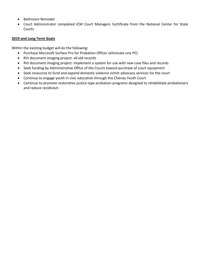- Bathroom Remodel
- Court Administrator completed ICM Court Managers Certificate from the National Center for State Courts

#### **2019 and Long-Term Goals**

Within the existing budget will do the following:

- Purchase Microsoft Surface Pro for Probation Officer (eliminate one PC)
- RVI document imaging project: all old records
- RVI document imaging project: implement a system for use with new case files and records
- Seek funding by Administrative Office of the Courts toward purchase of court equipment
- Seek resources to fund and expand domestic violence victim advocacy services for the court
- Continue to engage youth in civic education through the Cheney Youth Court
- Continue to promote restorative justice type probation programs designed to rehabilitate probationers and reduce recidivism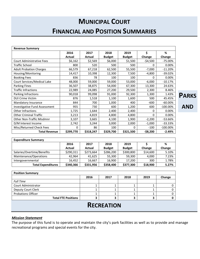## **MUNICIPAL COURT FINANCIAL AND POSITION SUMMARIES**

| <b>Revenue Summary</b>           |           |           |               |               |             |             |
|----------------------------------|-----------|-----------|---------------|---------------|-------------|-------------|
|                                  | 2016      | 2017      | 2018          | 2019          | \$          | %           |
|                                  | Actual    | Actual    | <b>Budget</b> | <b>Budget</b> | Change      | Change      |
| <b>Court Administrative Fees</b> | \$6,162   | \$2,569   | \$6,000       | \$1,500       | $-54,500$   | $-75.00\%$  |
| <b>Traffic School</b>            | 800       | 520       | 500           | 500           | 0           | 0.00%       |
| <b>Adult Probation Charges</b>   | 66,579    | 67,218    | 62,500        | 55,500        | $-7,000$    | $-11.20%$   |
| Housing/Monitoring               | 14,417    | 10,398    | 12,300        | 7,500         | $-4,800$    | $-39.02%$   |
| <b>Booking Fees</b>              | 836       | 78        | 100           | 100           | 0           | 0.00%       |
| Court Services/Medical Lake      | 48,000    | 59,000    | 59,000        | 53,000        | $-6,000$    | $-10.17%$   |
| Parking Fines                    | 36,507    | 38,875    | 54,000        | 67,300        | 13,300      | 24.63%      |
| <b>Traffic Infractions</b>       | 22,989    | 24,085    | 27,200        | 29,500        | 2,300       | 8.46%       |
| Parking Infractions              | 90,018    | 99,098    | 91,000        | 92,300        | 1,300       | 1.43%       |
| <b>DUI Crime Victim</b>          | 876       | 1,518     | 1,100         | 1,600         | 500         | 45.45%      |
| Mandatory Insurance              | 844       | 700       | 1,000         | 400           | $-600$      | $-60.00\%$  |
| Investigative Fund Assessment    | 955       | 730       | 600           | 1,200         | 600         | $-100.00\%$ |
| Other Infractions                | 1,725     | 1,644     | 2,400         | 2,400         | 0           | 0.00%       |
| <b>Other Criminal Traffic</b>    | 3,213     | 4,819     | 4,800         | 4,800         | 0           | 0.00%       |
| Other Non-Traffic Misdmnr        | 3,107     | 3,665     | 4,100         | 1,900         | $-2,200$    | -53.66%     |
| D/M Interest Income              | 2,742     | 3,244     | 3,000         | 2,000         | $-1,000$    | $-33.33%$   |
| Misc/Returned Check Fees         | 0         | 86        | 100           | $\Omega$      | $-100$      | $-100.00\%$ |
| <b>Total Revenue</b>             | \$299,770 | \$318,247 | \$329,700     | \$321,500     | $-$ \$8,200 | $-2.49%$    |

| <b>Expenditure Summary</b> |           |           |               |               |          |        |
|----------------------------|-----------|-----------|---------------|---------------|----------|--------|
|                            | 2016      | 2017      | 2018          | 2019          |          | %      |
|                            | Actual    | Actual    | <b>Budget</b> | <b>Budget</b> | Change   | Change |
| Salaries/Overtime/Benefits | \$290,311 | \$273,664 | \$286,200     | \$300,800     | \$14,600 | 5.10%  |
| Maintenance/Operations     | 42,964    | 41.625    | 55,300        | 59,300        | 4,000    | 7.23%  |
| Intergovernmental          | 16.452    | 16.667    | 16,900        | 17,200        | 300      | 1.78%  |
| <b>Total Expenditures</b>  | \$340,366 | \$331,956 | \$358,400     | \$377,300     | \$18,900 | 5.27%  |

| <b>Position Summary</b>    |      |      |      |      |        |
|----------------------------|------|------|------|------|--------|
|                            | 2016 | 2017 | 2018 | 2019 | Change |
| <b>Full Time</b>           |      |      |      |      |        |
| Court Administrator        |      |      |      |      |        |
| Deputy Court Clerk         |      |      |      |      |        |
| <b>Probations Officer</b>  |      |      |      |      |        |
| <b>Total FTE Positions</b> |      |      |      |      |        |
|                            |      |      |      |      |        |

### **RECREATION**

#### *Mission Statement*

The purpose of this fund is to operate and maintain the city's park facilities as well as to provide and manage recreational programs and special events for the city.

**PARKS** 

**AND**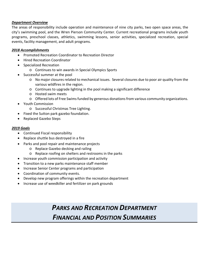#### *Department Overview*

The areas of responsibility include operation and maintenance of nine city parks, two open space areas, the city's swimming pool, and the Wren Pierson Community Center. Current recreational programs include youth programs, preschool classes, athletics, swimming lessons, senior activities, specialized recreation, special events, facility management, and adult programs.

#### *2018 Accomplishments*

- Promoted Recreation Coordinator to Recreation Director
- Hired Recreation Coordinator
- Specialized Recreation
	- o Continues to win awards in Special Olympics Sports
- Successful summer at the pool
	- o No major closures related to mechanical issues. Several closures due to poor air quality from the various wildfires in the region.
	- o Continues to upgrade lighting in the pool making a significant difference
	- o Hosted swim meets
	- o Offered lots of Free Swims funded by generous donations from various community organizations.
- Youth Commission
	- o Successful Christmas Tree Lighting.
- Fixed the Sutton park gazebo foundation.
- Replaced Gazebo Steps

#### *2019 Goals*

- Continued Fiscal responsibility
- Replace shuttle bus destroyed in a fire
- Parks and pool repair and maintenance projects
	- o Replace Gazebo decking and railing
	- o Replace roofing on shelters and restrooms in the parks
- Increase youth commission participation and activity
- Transition to a new parks maintenance staff member
- Increase Senior Center programs and participation
- Coordination of community events.
- Develop new program offerings within the recreation department
- Increase use of weedkiller and fertilizer on park grounds

## *PARKS AND RECREATION DEPARTMENT FINANCIAL AND POSITION SUMMARIES*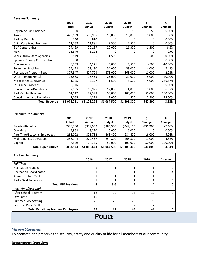| <b>Revenue Summary</b>            |             |             |               |               |           |             |  |
|-----------------------------------|-------------|-------------|---------------|---------------|-----------|-------------|--|
|                                   | 2016        | 2017        | 2018          | 2019          | \$        | %           |  |
|                                   | Actual      | Actual      | <b>Budget</b> | <b>Budget</b> | Change    | Change      |  |
| Beginning Fund Balance            | \$0         | \$0         | \$0           | \$0           | \$0       | 0.00%       |  |
| Taxes                             | 478,169     | 539,905     | 510,000       | 515,000       | 5,000     | .98%        |  |
| <b>Parking Permits</b>            | 340         | 810         | 0             | 0             | 0         | 0.00%       |  |
| Child Care Food Program           | 11,758      | 11,881      | 7,500         | 7,500         | 0         | 0.00%       |  |
| 21 <sup>ST</sup> Century Grant    | 24,429      | 26,137      | 20,000        | 21,300        | 1,300     | 6.5%        |  |
| <b>FEMA</b>                       | 15,376      | 1,222       | 0             | 0             | 0         | 0.00        |  |
| Work Study/State Agencies         | 6,849       | 0           | 1,500         | 0             | $-1,500$  | $-100.00\%$ |  |
| Spokane County Conservation       | 750         | 0           | 0             | 0             | 0         | 0.00%       |  |
| Concessions                       | 6,269       | 4,221       | 5,000         | 4,500         | $-500$    | $-10.00\%$  |  |
| Swimming Pool Fees                | 54,428      | 59,130      | 54,000        | 58,000        | 4,000     | 7.41%       |  |
| <b>Recreation Program Fees</b>    | 377,847     | 407,793     | 376,000       | 365,000       | $-11,000$ | $-2.93%$    |  |
| Wren Pierson Rental               | 23,588      | 16,453      | 25,000        | 20,000        | $-5,000$  | $-20.00\%$  |  |
| Miscellaneous Revenue             | 1,135       | 3,197       | 1,500         | 5,500         | 4,000     | 266.67%     |  |
| <b>Insurance Proceeds</b>         | 2,146       | 0           | 0             | 0             | 0         | 0.00%       |  |
| Contributions/Donations           | 7,055       | 18,925      | 12,000        | 4,000         | $-8,000$  | $-66.67%$   |  |
| Park Capital Reserve              | 61,017      | 27,398      | 50,000        | 100,000       | 50,000    | 100.00%     |  |
| <b>Contribution and Donations</b> | 1,055       | 4,222       | 2,000         | 4,500         | 2,500     | 125.00%     |  |
| <b>Total Revenue</b>              | \$1,072,211 | \$1,121,294 | \$1,064,500   | \$1,105,300   | \$40,800  | 3.83%       |  |

| <b>Expenditure Summary</b>   |           |             |               |               |            |          |  |
|------------------------------|-----------|-------------|---------------|---------------|------------|----------|--|
|                              | 2016      | 2017        | 2018          | 2019          |            | %        |  |
|                              | Actual    | Actual      | <b>Budget</b> | <b>Budget</b> | Change     | Change   |  |
| Salaries/Benefits            | \$346,300 | \$379,939   | \$485,300     | \$449,100     | $-536,200$ | $-7.46%$ |  |
| Overtime                     | 5,958     | 8,220       | 6,000         | 6,000         | 0          | 0.00%    |  |
| Part-Time/Seasonal Employees | 268,002   | 325,712     | 268,400       | 284.400       | 16,000     | 5.96%    |  |
| Maintenance/Operations       | 256,144   | 272,437     | 254,800       | 265,800       | 11,000     | 4.32%    |  |
| Capital                      | 7.539     | 24,335      | 50,000        | 100,000       | 50,000     | 100.00%  |  |
| <b>Total Expenditures</b>    | \$883,943 | \$1,010,643 | \$1,064,500   | \$1,105,300   | \$40,800   | 3.83%    |  |

| <b>Position Summary</b>                   |      |      |                          |      |        |
|-------------------------------------------|------|------|--------------------------|------|--------|
|                                           | 2016 | 2017 | 2018                     | 2019 | Change |
| <b>Full Time</b>                          |      |      |                          |      |        |
| <b>Recreation Manager</b>                 | 1    | 4    |                          |      |        |
| <b>Recreation Coordinator</b>             | 1    | .6   |                          |      | .4     |
| <b>Administrative Clerk</b>               | 4    |      |                          |      |        |
| Parks Field Supervisor                    | ◢    |      |                          |      |        |
| <b>Total FTE Positions</b>                | 4    | 3.6  | 4                        | 4    | o      |
| <b>Part-Time/Seasonal</b>                 |      |      |                          |      |        |
| After School Program                      | 12   | 12   | 12                       | 12   |        |
| Day Camp                                  | 10   | 10   | 10                       | 10   |        |
| <b>Summer Pool Staffing</b>               | 20   | 20   | 20                       | 20   |        |
| Seasonal Parks Staff                      | 5    | 5    | $\overline{\phantom{a}}$ |      |        |
| <b>Total Part-time/Seasonal Employees</b> | 47   | 47   | 49                       | 49   | 0      |

**POLICE**

#### *Mission Statement*

To promote and preserve the security, safety and quality of life for all members of our community.

#### **Department Overview**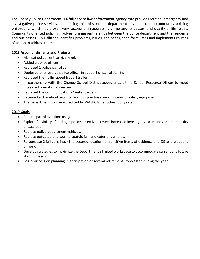The Cheney Police Department is a full-service law enforcement agency that provides routine, emergency and investigative police services. In fulfilling this mission, the department has embraced a community policing philosophy, which has proven very successful in addressing crime and its causes, and quality of life issues. Community oriented policing involves forming partnerships between the police department and the residents and businesses. This alliance identifies problems, issues, and needs, then formulates and implements courses of action to address them.

#### **2018 Accomplishments and Projects**

- Maintained current service level.
- Added a police officer.
- Replaced 1 police patrol car.
- Deployed one reserve police officer in support of patrol staffing.
- Replaced the traffic speed (radar) trailer.
- In partnership with the Cheney School District added a part-time School Resource Officer to meet increased operational demands.
- Replaced the Communications Center carpeting.
- Received a Homeland Security Grant to purchase various items of safety equipment.
- The Department was re-accredited by WASPC for another four years.

#### **2019 Goals**

- Reduce patrol overtime usage.
- Explore feasibility of adding a police detective to meet increased investigative demands and complexity of caseload.
- Replace police department vehicles.
- Replace outdated and worn dispatch, jail, and exterior cameras.
- Re-purpose 2 jail cells into (1) a secured location for sensitive items of evidence and (2) as a weapons armory.
- Develop strategies to maximize the Department's limited workspace to accommodate current and future staffing needs.
- Begin succession planning in anticipation of several retirements forecasted during the year.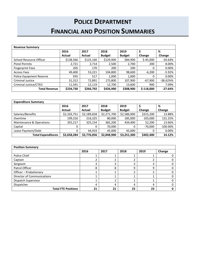## **POLICE DEPARTMENT FINANCIAL AND POSITION SUMMARIES**

| <b>Revenue Summary</b>   |           |           |               |               |             |           |  |
|--------------------------|-----------|-----------|---------------|---------------|-------------|-----------|--|
|                          | 2016      | 2017      | 2018          | 2019          | \$          | %         |  |
|                          | Actual    | Actual    | <b>Budget</b> | <b>Budget</b> | Change      | Change    |  |
| School Resource Officer  | \$138,566 | \$125,160 | \$129,900     | \$84,900      | $$-45,000$  | $-34.64%$ |  |
| <b>Pistol Permits</b>    | 2,721     | 2,714     | 2,500         | 2,700         | 200         | 8.00%     |  |
| <b>Fingerprint Fees</b>  | 205       | 170       | 200           | 200           | 0           | 0.00%     |  |
| <b>Access Fees</b>       | 49,400    | 53,221    | 104,800       | 98,600        | $-6,200$    | $-5.92%$  |  |
| Police Equipment Reserve | 935       | 517       | 1,000         | 1,000         | 0           | 0.00%     |  |
| <b>Criminal Justice</b>  | 31,312    | 72,891    | 175,800       | 107,900       | $-67,900$   | $-38.62%$ |  |
| Criminal Justice/CTED    | 11,591    | 12,119    | 12,700        | 13,600        | 900         | 7.09%     |  |
| <b>Total Revenue</b>     | \$234,730 | \$266,792 | \$426,900     | \$308,900     | $$-118,000$ | $-27.64%$ |  |

| <b>Expenditure Summary</b> |             |             |               |               |           |             |  |
|----------------------------|-------------|-------------|---------------|---------------|-----------|-------------|--|
|                            | 2016        | 2017        | 2018          | 2019          |           | %           |  |
|                            | Actual      | Actual      | <b>Budget</b> | <b>Budget</b> | Change    | Change      |  |
| Salaries/Benefits          | \$2,103,751 | \$2,189,658 | \$2,271,700   | \$2,586,900   | \$315,200 | 13.88%      |  |
| Overtime                   | 199,316     | 216,325     | 80,000        | 185,000       | 105,000   | 131.25%     |  |
| Maintenance & Operations   | 355,217     | 325,154     | 382,200       | 434,400       | 52,200    | 13.66%      |  |
| Capital                    |             | 0           | 70,000        | 0             | $-70,000$ | $-100.00\%$ |  |
| Lease Payment/Debt         |             | 44.919      | 45,000        | 45,000        | 0         | 0.00%       |  |
| <b>Total Expenditures</b>  | \$2,658,284 | \$2,776,056 | \$2,848,900   | \$3,251,300   | \$402,400 | 14.12%      |  |

| <b>Position Summary</b>           |      |      |      |      |        |  |
|-----------------------------------|------|------|------|------|--------|--|
|                                   | 2016 | 2017 | 2018 | 2019 | Change |  |
| Police Chief                      |      |      |      |      |        |  |
| Captain                           |      |      | ำ    |      |        |  |
| Sergeant                          |      |      | 3    |      |        |  |
| Patrol Officer                    | 8    | 8    | 9    | q    |        |  |
| Officer - Probationary            |      |      | n.   |      |        |  |
| <b>Director of Communications</b> |      |      |      |      |        |  |
| Dispatch Supervisor               |      |      |      |      |        |  |
| Dispatcher                        | 4    | Δ    | 4    | Д    |        |  |
| <b>Total FTE Positions</b>        | 21   | 21   | 23   | 23   |        |  |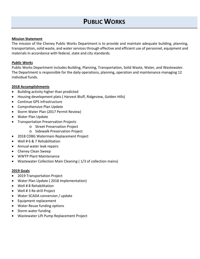#### **Mission Statement**

The mission of the Cheney Public Works Department is to provide and maintain adequate building, planning, transportation, solid waste, and water services through effective and efficient use of personnel, equipment and materials in accordance with federal, state and city standards.

#### *Public Works*

Public Works Department includes Building, Planning, Transportation, Solid Waste, Water, and Wastewater. The Department is responsible for the daily operations, planning, operation and maintenance managing 12 individual funds.

#### **2018 Accomplishments**

- Building activity higher than predicted
- Housing development plats ( Harvest Bluff, Ridgeview, Golden Hills)
- Continue GPS infrastructure
- Comprehensive Plan Update
- Storm Water Plan (2017 Permit Review)
- Water Plan Update
- Transportation Preservation Projects
	- o Street Preservation Project
	- o Sidewalk Preservation Project
- 2018 CDBG Watermain Replacement Project
- Well # 6 & 7 Rehabilitation
- Annual water leak repairs
- Cheney Clean Sweep
- WWTP Plant Maintenance
- Wastewater Collection Main Cleaning ( 1/3 of collection mains)

#### **2019 Goals**

- 2019 Transportation Project
- Water Plan Update ( 2018 Implementation)
- Well # 8 Rehabilitation
- Well # 3 Re-drill Project
- Water SCADA conversion / update
- Equipment replacement
- Water Reuse funding options
- Storm water funding
- Wastewater Lift Pump Replacement Project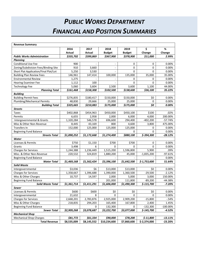## *PUBLIC WORKS DEPARTMENT FINANCIAL AND POSITION SUMMARIES*

| <b>Revenue Summary</b>                   |                    |                    |                          |                    |                |                  |
|------------------------------------------|--------------------|--------------------|--------------------------|--------------------|----------------|------------------|
|                                          | 2016               | 2017               | 2018                     | 2019               | \$             | ℅                |
|                                          | Actual             | <b>Actual</b>      | <b>Budget</b>            | <b>Budget</b>      | Change         | Change           |
| <b>Public Works Administration</b>       | \$335,702          | \$399,869          | \$367,900                | \$378,900          | \$11,000       | 2.99%            |
| Planning                                 |                    |                    |                          |                    |                |                  |
| <b>Conditional Use Fee</b>               | 900                |                    |                          | 0                  | 0              | 0.00%            |
| Zoning/Subdivision Fees/Binding Site     | 910                | 3,660              | $\overline{\phantom{a}}$ | $\Omega$           | $\Omega$       | 0.00%            |
| Short Plat Application/Final Plat/Lot    | 5,250              | 3,530              |                          | $\Omega$           | $\Omega$       | 0.00%            |
| <b>Building Plan Review Fees</b>         | 146,961            | 147,414            | 100,000                  | 135,000            | 35,000         | 35.00%           |
| <b>Environmental Review</b>              | 1,275              |                    |                          | 0                  | $\Omega$       | 0.00%            |
| <b>Hearing Examiner Fee</b>              | 1,112              | 100                |                          | $\Omega$           | $\Omega$       | 0.00%            |
| <b>Technology Fee</b>                    | 5,060              | 3,604              | 2,500                    | 3,600              | 1,100          | 44.00%           |
| <b>Planning Total</b>                    | \$161,468          | \$158,308          | \$102,500                | \$138,600          | \$36,100       | 35.22%           |
| <b>Building</b>                          |                    |                    |                          |                    |                |                  |
| <b>Building Permit Fees</b>              | \$276,835          | \$180,417          | \$150,000                | \$150,000          | \$0            | $0.00\%$         |
| Plumbing/Mechanical Permits              | 48,830             | 29,666             | 25,000                   | 25,000             | 0              | 0.00%            |
| <b>Building Total</b>                    | \$325,665          | \$210,083          | \$175,000                | \$175,000          | \$0            | 0.00%            |
| <b>Streets</b>                           |                    |                    |                          |                    |                |                  |
| Taxes<br>Permits                         | \$402,868<br>6,655 | \$454,963<br>2,958 | \$450,000<br>2,000       | \$450,100<br>6,000 | \$100<br>4,000 | .02%<br>200.00%  |
| Intergovernmental & Grants               | 1,320,284          | 546,578            | 696,600                  | 294,400            | $-402,200$     | $-57.74%$        |
|                                          |                    |                    |                          |                    | 3,800          |                  |
| Misc & Other Non-Revenue<br>Transfers In | 8,445              | 43,169             | 800                      | 4,600              | 0              | 475.00%<br>0.00% |
| <b>Beginning Fund Balance</b>            | 152,000            | 125,000            | 125,000                  | 125,000<br>0       | $\Omega$       | 0.00%            |
| <b>Streets Total</b>                     | \$1,890,252        | \$1,172,668        | \$1,274,400              | \$880,100          | $$-394,300$    | $-28.12%$        |
| Water                                    |                    |                    |                          |                    |                |                  |
| Licenses & Permits                       | \$750              | \$1,150            | \$700                    | \$700              | 0              | 0.00%            |
| Grants                                   | 3,498              | 6                  | 0                        | $\Omega$           | $\Omega$       | $0.00\%$         |
| <b>Charges for Services</b>              | 1,244,388          | 1,236,449          | 1,515,200                | 1,596,800          | 5,900          | .39%             |
| Misc. & Other Non-Revenue                | 220,532            | 324,819            | 1,880,200                | 45,000             | $-1,835,200$   | $-97.61%$        |
| <b>Beginning Fund Balance</b>            |                    |                    |                          |                    |                | 0.00%            |
| <b>Water Total</b>                       | \$1,469,168        | \$1,562,424        | \$3,396,100              | \$1,642,500        | $$-1,753,600$  | 51.64%           |
| <b>Solid Waste</b>                       |                    |                    |                          |                    |                |                  |
| Intergovernmental                        | \$3,036            | \$6                | \$13,000                 | \$13,000           | \$0            | 0.00%            |
| <b>Charges for Services</b>              | 1,358,667          | 1,396,688          | 1,390,000                | 1,360,500          | $-29,500$      | $-2.12%$         |
| Misc & Other Charges                     | 10,737             | 14,597             | 2,000                    | 5,000              | 3,000          | 150.00%          |
| <b>Beginning Fund Balance</b>            |                    |                    | 201,000                  | 111,800            | $-89,200$      | $-44.38%$        |
| <b>Solid Waste Total</b>                 | \$1,361,714        | \$1,411,291        | \$1,606,000              | \$1,490,300        | \$-115,700     | $-7.20%$         |
| Sewer                                    |                    |                    |                          |                    |                |                  |
| Licenses & Permits                       | \$600              | \$600              | \$0                      | \$0                | \$0            | 0.00%            |
| Intergovernmental                        | 21,632             | 8                  | 0                        | 0                  | 0              | $0.00\%$         |
| <b>Charges for Services</b>              | 2,668,201          | 2,783,876          | 2,925,000                | 2,909,200          | $-15,800$      | $-54%$           |
| Misc & Other Charges                     | 218,835            | 294,203            | 165,400                  | 167,800            | 2,400          | 1.45%            |
| <b>Beginning Fund Balance</b>            |                    | 0                  | 132,300                  | 0                  | $-132,300$     | $-100.00\%$      |
| <b>Sewer Total</b>                       | \$2,909,268        | \$3,078,687        | \$3,222,700              | \$3,077,000        | \$-145,700     | $-4.52%$         |
| <b>Mechanical Shop</b>                   |                    |                    |                          |                    |                |                  |
| <b>Mechanical Shop Charges</b>           | \$81,772           | \$61,334           | \$90,000                 | \$78,200           | $$-11,800$     | $-13.11%$        |
| <b>Total Revenue</b>                     | \$8,535,009        | \$8,145,552        | \$10,234,600             | \$7,860,600        | $$-2,374,000$  | $-23.20%$        |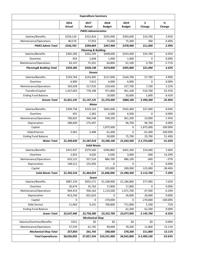|                                     | <b>Expenditure Summary</b> |                                |                       |                       |               |             |  |  |  |
|-------------------------------------|----------------------------|--------------------------------|-----------------------|-----------------------|---------------|-------------|--|--|--|
|                                     | 2016<br>Actual             | 2017<br>Actual                 | 2018<br><b>Budget</b> | 2019<br><b>Budget</b> | \$<br>Change  | %<br>Change |  |  |  |
|                                     | <b>PWKS Administration</b> |                                |                       |                       |               |             |  |  |  |
| Salaries/Benefits                   | \$256,126                  | \$322,816                      | \$292,900             | \$303,600             | \$10,700      | 3.65%       |  |  |  |
| Maintenance/Operations              | 80,576                     | 77,053                         | 75,000                | 75,300                | 300           | 0.40%       |  |  |  |
| <b>PWKS Admin Total</b>             | \$336,702                  | \$399,869                      | \$367,900             | \$378,900             | \$11,000      | 2.99%       |  |  |  |
|                                     |                            | <b>Planning &amp; Building</b> |                       |                       |               |             |  |  |  |
| Salaries/Benefits                   | \$365,284                  | \$362,299                      | \$408,600             | \$433,300             | \$24,700      | 6.05%       |  |  |  |
| Overtime                            | 954                        | 1,648                          | 1,400                 | 1,400                 | 0             | 0.00%       |  |  |  |
| Maintenance/Operations              | 63,147                     | 75,201                         | 64,800                | 61,100                | $-3,700$      | $-5.71%$    |  |  |  |
| <b>Planning&amp; Building Total</b> | \$429,385                  | \$439,148                      | \$474,800             | \$495,800             | \$21,000      | 4.42%       |  |  |  |
|                                     |                            | <b>Streets</b>                 |                       |                       |               |             |  |  |  |
| Salaries/Benefits                   | \$193,764                  | \$143,405                      | \$157,000             | \$164,700             | \$7,700       | 4.90%       |  |  |  |
| Overtime                            | 6,900                      | 7,612                          | 6,000                 | 6,000                 | 0             | 0.00%       |  |  |  |
| Maintenance/Operations              | 183,028                    | 217,910                        | 220,600               | 227,700               | 7,100         | 3.22%       |  |  |  |
| Transfers/Capital                   | 1,437,643                  | 778,198                        | 971,800               | 461,100               | $-510,700$    | $-52.55%$   |  |  |  |
| <b>Ending Fund Balance</b>          |                            |                                | 19,000                | 20,600                | 1,600         | 8.42%       |  |  |  |
| <b>Streets Total</b>                | \$1,821,335                | \$1,147,125                    | \$1,374,400           | \$880,100             | \$-494,300    | $-35.96%$   |  |  |  |
|                                     |                            | Water                          |                       |                       |               |             |  |  |  |
| Salaries/Benefits                   | \$349,758                  | \$359,103                      | \$465,000             | \$502,400             | \$37,400      | 8.04%       |  |  |  |
| Overtime                            | 455                        | 2,382                          | 6,500                 | 6,500                 | 0             | 0.00%       |  |  |  |
| Maintenance/Operations              | 706,825                    | 946,548                        | 938,200               | 961,200               | 23,000        | 2.45%       |  |  |  |
| Depreciation                        | 288,830                    | 275,497                        |                       | 96,700                | 96,700        | 0.00%       |  |  |  |
| Capital                             |                            |                                | 1,875,000             | 0                     | $-1,875,000$  | $-100.00\%$ |  |  |  |
| Debt/Interest                       | 3,962                      | 3,488                          | 61,400                | 0                     | $-61,400$     | $-100.00\%$ |  |  |  |
| <b>Ending Fund Balance</b>          |                            |                                | 50,000                | 75,700                | 25,700        | 51.40%      |  |  |  |
| <b>Water Total</b>                  | \$1,349,830                | \$1,587,018                    | \$3,396,100           | \$1,642,500           | $$-1,753,600$ | $-51.64%$   |  |  |  |
|                                     |                            | <b>Solid Waste</b>             |                       |                       |               |             |  |  |  |
| Salaries/Benefits                   | \$431,937                  | \$379,560                      | \$390,800             | \$401,200             | \$10,400      | 2.66%       |  |  |  |
| Overtime                            | 2,953                      | 4,020                          | 3,500                 | 3,000                 | $-500$        | $-14.29%$   |  |  |  |
| Maintenance/Operations              | 810,122                    | 927,524                        | 886,700               | 886,100               | $-600$        | $-.07%$     |  |  |  |
| Depreciation                        | 148,512                    | 152,950                        | 0                     | 0                     | 0             | 0.00%       |  |  |  |
| Capital                             |                            |                                | 325,000               | 200,000               | $-125,000$    | $-38.46%$   |  |  |  |
| <b>Solid Waste Total</b>            | \$1,393,524                | \$1,464,054                    | \$1,606,000           | \$1,490,300           | $$-115,700$   | $-7.20%$    |  |  |  |
|                                     |                            | Sewer                          |                       |                       |               |             |  |  |  |
| Salaries/Benefits                   | \$887,159                  | \$955,571                      | \$1,108,900           | \$1,186,800           | \$77,900      | 7.02%       |  |  |  |
| Overtime                            | 20,674                     | 35,763                         | 17,800                | 17,800                | 0             | 0.00%       |  |  |  |
| Maintenance/Operations              | 904,414                    | 936,162                        | 1,119,200             | 1,071,700             | $-47,500$     | $-4.24%$    |  |  |  |
| Depreciation                        | 813,256                    | 821,653                        | 0                     | 26,600                | 26,600        | 0.00%       |  |  |  |
| Capital                             | 0                          | 0                              | 270,000               | 0                     | $-270,000$    | $-100.00\%$ |  |  |  |
| Debt Service                        | 11,963                     | 9,231                          | 706,800               | 711,900               | 5,100         | .72%        |  |  |  |
| <b>Ending Fund Balance</b>          |                            |                                |                       | 62,200                | 62,200        | 0.00%       |  |  |  |
| <b>Sewer Total</b>                  | \$2,637,466                | \$2,758,380                    | \$3,222,700           | \$3,077,000           | $$-145,700$   | $-4.52%$    |  |  |  |
| Salaries/Overtime/Benefits          | \$321                      | <b>Mechanical Shop</b><br>\$0  | \$0                   | \$0                   | \$0           | 0.00%       |  |  |  |
| Maintenance/Operations              | 57,529                     | 61,745                         | 90,000                | 78,200                | 11,800        | 13.11%      |  |  |  |
| <b>Mechanical Shop Total</b>        | \$57,850                   | \$61,745                       | \$90,000              | \$78,200              | \$11,800      | 13.11%      |  |  |  |
| <b>Total Expenditures</b>           | \$8,026,092                | \$7,857,334                    | \$10,531,900          | \$8,042,800           | \$-2,489,100  | $-23.63%$   |  |  |  |
|                                     |                            |                                |                       |                       |               |             |  |  |  |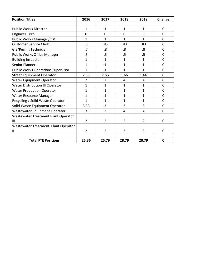| <b>Position Titles</b>                     | 2016            | 2017              | 2018           | 2019           | Change         |
|--------------------------------------------|-----------------|-------------------|----------------|----------------|----------------|
|                                            |                 |                   |                |                |                |
| Public Works Director                      | $\mathbf{1}$    | $\mathbf{1}$      | $\mathbf{1}$   | $\mathbf{1}$   | $\mathbf 0$    |
| Engineer Tech                              | $\overline{0}$  | 0                 | $\mathbf 0$    | $\overline{0}$ | $\Omega$       |
| Public Works Manager/CBO                   | $\mathbf{1}$    | 1                 | $\mathbf{1}$   | 1              | $\overline{0}$ |
| <b>Customer Service Clerk</b>              | $.5\,$          | .83               | .83            | .83            | $\Omega$       |
| GIS/Permit Technician                      | $\overline{.7}$ | $\boldsymbol{.8}$ | .8             | .8             | $\overline{0}$ |
| Public Works Office Manager                | $.5\,$          | $.5\,$            | .5             | $.5\,$         | $\mathbf 0$    |
| <b>Building Inspector</b>                  | $\mathbf{1}$    | $\mathbf{1}$      | $\mathbf{1}$   | $\mathbf{1}$   | $\mathbf 0$    |
| Senior Planner                             | $\mathbf{1}$    | $\overline{1}$    | $\mathbf{1}$   | $\mathbf{1}$   | $\mathbf 0$    |
| Public Works Operations Supervisor         | $\overline{1}$  | $\overline{1}$    | $\mathbf{1}$   | $\mathbf{1}$   | $\mathbf 0$    |
| <b>Street Equipment Operator</b>           | 2.33            | 2.66              | 1.66           | 1.66           | $\mathbf 0$    |
| <b>Water Equipment Operator</b>            | $\overline{2}$  | $\overline{2}$    | 4              | $\overline{4}$ | $\overline{0}$ |
| <b>Water Distribution III Operator</b>     | $\overline{1}$  | $\overline{1}$    | $\mathbf{1}$   | 1              | $\mathbf 0$    |
| <b>Water Production Operator</b>           | $\mathbf{1}$    | 1                 | $\mathbf{1}$   | $\mathbf{1}$   | $\mathbf 0$    |
| <b>Water Resource Manager</b>              | 1               | 1                 | $\mathbf{1}$   | $\mathbf{1}$   | $\mathbf 0$    |
| Recycling / Solid Waste Operator           | 1               | 1                 | 1              | $\mathbf{1}$   | $\mathbf 0$    |
| Solid Waste Equipment Operator             | 3.33            | 3                 | 3              | 3              | $\mathbf 0$    |
| Wastewater Equipment Operator              | 3               | 3                 | $\overline{4}$ | 4              | $\mathbf 0$    |
| <b>Wastewater Treatment Plant Operator</b> |                 |                   |                |                |                |
| Ш                                          | $\overline{2}$  | $\overline{2}$    | $\overline{2}$ | $\overline{2}$ | 0              |
| <b>Wastewater Treatment Plant Operator</b> |                 |                   |                |                |                |
| Ш                                          | $\overline{2}$  | $\overline{2}$    | 3              | 3              | 0              |
|                                            |                 |                   |                |                |                |
| <b>Total FTE Positions</b>                 | 25.36           | 25.79             | 28.79          | 28.79          | $\mathbf 0$    |